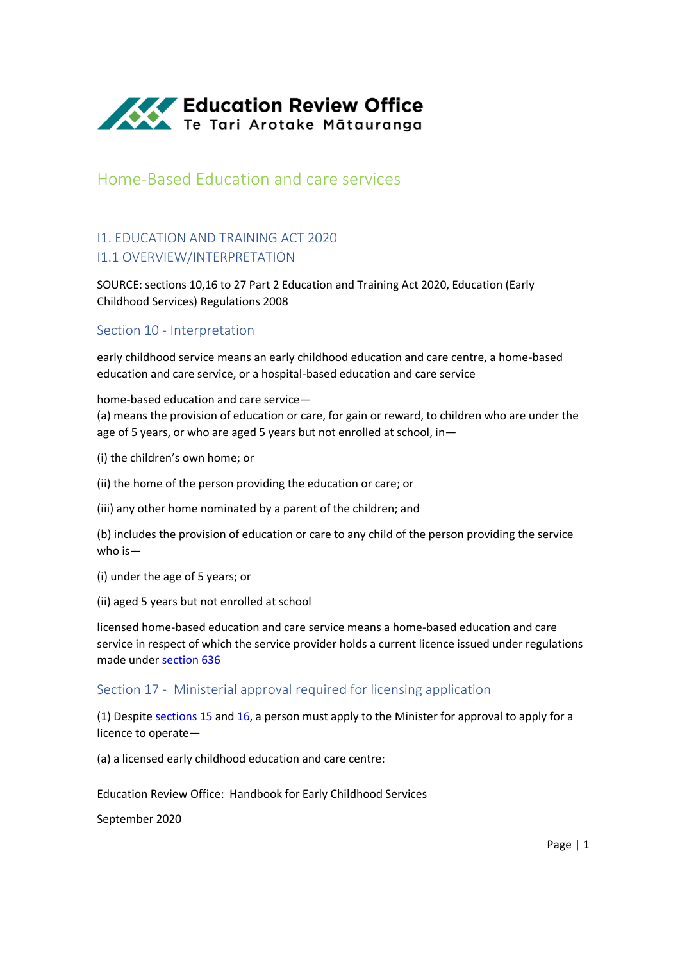

# Home-Based Education and care services

## I1. EDUCATION AND TRAINING ACT 2020 I1.1 OVERVIEW/INTERPRETATION

SOURCE: sections 10,16 to 27 Part 2 Education and Training Act 2020, Education (Early Childhood Services) Regulations 2008

### Section 10 - Interpretation

early childhood service means an early childhood education and care centre, a home-based education and care service, or a hospital-based education and care service

home-based education and care service— (a) means the provision of education or care, for gain or reward, to children who are under the age of 5 years, or who are aged 5 years but not enrolled at school, in—

(i) the children's own home; or

(ii) the home of the person providing the education or care; or

(iii) any other home nominated by a parent of the children; and

(b) includes the provision of education or care to any child of the person providing the service who is—

(i) under the age of 5 years; or

(ii) aged 5 years but not enrolled at school

licensed home-based education and care service means a home-based education and care service in respect of which the service provider holds a current licence issued under regulations made under [section 636](http://www.legislation.govt.nz/act/public/2020/0038/latest/whole.html?search=ta_act_E_ac%40ainf%40anif_an%40bn%40rn_25_a&p=1#LMS171321)

### Section 17 - Ministerial approval required for licensing application

(1) Despite [sections 15](http://www.legislation.govt.nz/act/public/2020/0038/latest/whole.html?search=ta_act_E_ac%40ainf%40anif_an%40bn%40rn_25_a&p=1#LMS171341) an[d 16,](http://www.legislation.govt.nz/act/public/2020/0038/latest/whole.html?search=ta_act_E_ac%40ainf%40anif_an%40bn%40rn_25_a&p=1#LMS171320) a person must apply to the Minister for approval to apply for a licence to operate—

(a) a licensed early childhood education and care centre:

Education Review Office: Handbook for Early Childhood Services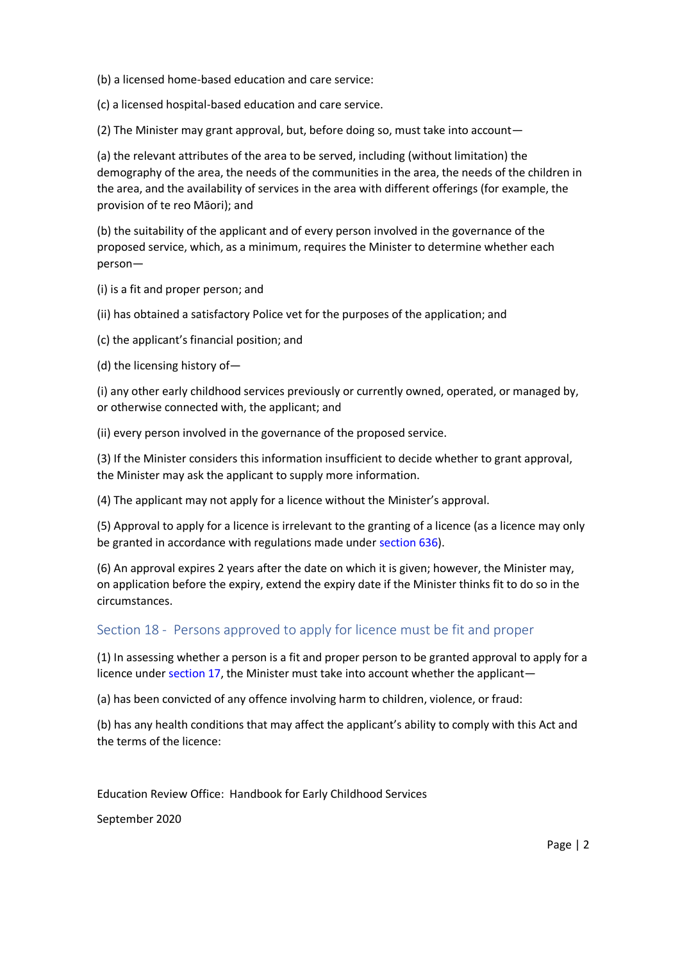(b) a licensed home-based education and care service:

(c) a licensed hospital-based education and care service.

(2) The Minister may grant approval, but, before doing so, must take into account—

(a) the relevant attributes of the area to be served, including (without limitation) the demography of the area, the needs of the communities in the area, the needs of the children in the area, and the availability of services in the area with different offerings (for example, the provision of te reo Māori); and

(b) the suitability of the applicant and of every person involved in the governance of the proposed service, which, as a minimum, requires the Minister to determine whether each person—

(i) is a fit and proper person; and

(ii) has obtained a satisfactory Police vet for the purposes of the application; and

(c) the applicant's financial position; and

(d) the licensing history of—

(i) any other early childhood services previously or currently owned, operated, or managed by, or otherwise connected with, the applicant; and

(ii) every person involved in the governance of the proposed service.

(3) If the Minister considers this information insufficient to decide whether to grant approval, the Minister may ask the applicant to supply more information.

(4) The applicant may not apply for a licence without the Minister's approval.

(5) Approval to apply for a licence is irrelevant to the granting of a licence (as a licence may only be granted in accordance with regulations made under [section 636\)](http://www.legislation.govt.nz/act/public/2020/0038/latest/whole.html?search=ta_act_E_ac%40ainf%40anif_an%40bn%40rn_25_a&p=1#LMS171321).

(6) An approval expires 2 years after the date on which it is given; however, the Minister may, on application before the expiry, extend the expiry date if the Minister thinks fit to do so in the circumstances.

### Section 18 - Persons approved to apply for licence must be fit and proper

(1) In assessing whether a person is a fit and proper person to be granted approval to apply for a licence unde[r section 17,](http://www.legislation.govt.nz/act/public/2020/0038/latest/whole.html?search=ta_act_E_ac%40ainf%40anif_an%40bn%40rn_25_a&p=1#LMS274559) the Minister must take into account whether the applicant—

(a) has been convicted of any offence involving harm to children, violence, or fraud:

(b) has any health conditions that may affect the applicant's ability to comply with this Act and the terms of the licence:

Education Review Office: Handbook for Early Childhood Services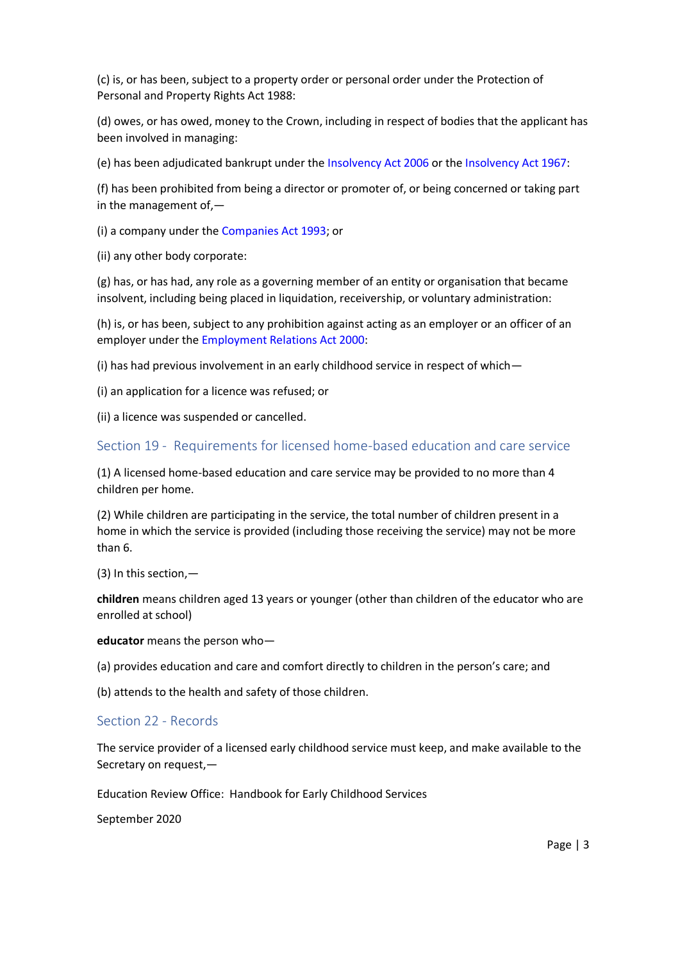(c) is, or has been, subject to a property order or personal order under the Protection of Personal and Property Rights Act 1988:

(d) owes, or has owed, money to the Crown, including in respect of bodies that the applicant has been involved in managing:

(e) has been adjudicated bankrupt under the [Insolvency Act 2006](http://www.legislation.govt.nz/act/public/2020/0038/latest/link.aspx?search=ta_act_E_ac%40ainf%40anif_an%40bn%40rn_25_a&p=1&id=DLM385298) or th[e Insolvency Act 1967:](http://www.legislation.govt.nz/act/public/2020/0038/latest/link.aspx?search=ta_act_E_ac%40ainf%40anif_an%40bn%40rn_25_a&p=1&id=DLM382333)

(f) has been prohibited from being a director or promoter of, or being concerned or taking part in the management of,—

(i) a company under the [Companies Act 1993;](http://www.legislation.govt.nz/act/public/2020/0038/latest/link.aspx?search=ta_act_E_ac%40ainf%40anif_an%40bn%40rn_25_a&p=1&id=DLM319569) or

(ii) any other body corporate:

(g) has, or has had, any role as a governing member of an entity or organisation that became insolvent, including being placed in liquidation, receivership, or voluntary administration:

(h) is, or has been, subject to any prohibition against acting as an employer or an officer of an employer under th[e Employment Relations Act 2000:](http://www.legislation.govt.nz/act/public/2020/0038/latest/link.aspx?search=ta_act_E_ac%40ainf%40anif_an%40bn%40rn_25_a&p=1&id=DLM58316)

(i) has had previous involvement in an early childhood service in respect of which—

(i) an application for a licence was refused; or

(ii) a licence was suspended or cancelled.

#### Section 19 - Requirements for licensed home-based education and care service

(1) A licensed home-based education and care service may be provided to no more than 4 children per home.

(2) While children are participating in the service, the total number of children present in a home in which the service is provided (including those receiving the service) may not be more than 6.

(3) In this section,—

**children** means children aged 13 years or younger (other than children of the educator who are enrolled at school)

#### **educator** means the person who—

(a) provides education and care and comfort directly to children in the person's care; and

(b) attends to the health and safety of those children.

#### Section 22 - Records

The service provider of a licensed early childhood service must keep, and make available to the Secretary on request,—

Education Review Office: Handbook for Early Childhood Services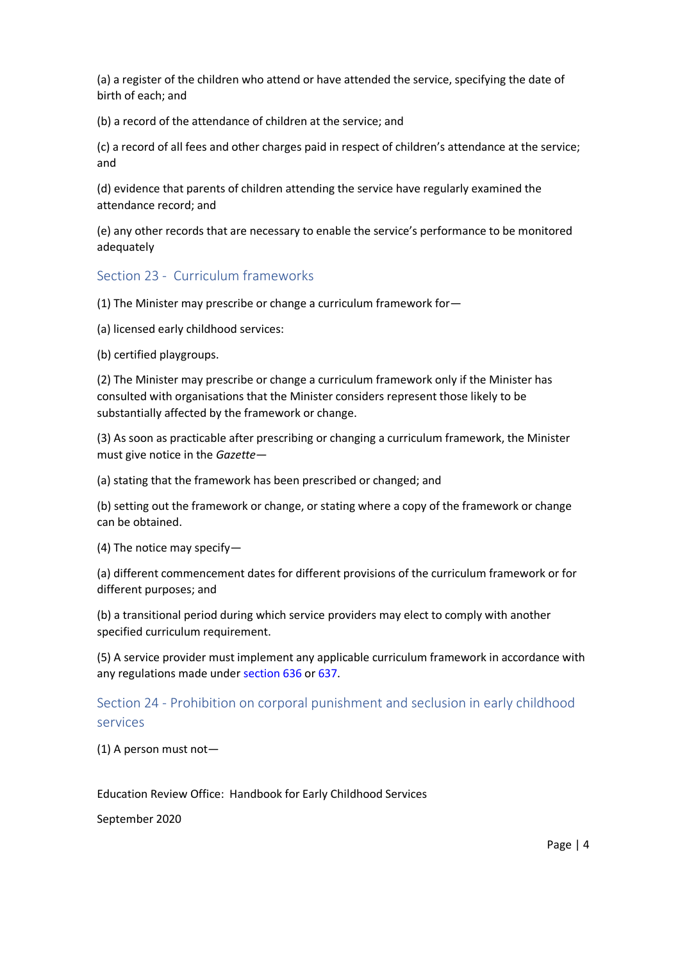(a) a register of the children who attend or have attended the service, specifying the date of birth of each; and

(b) a record of the attendance of children at the service; and

(c) a record of all fees and other charges paid in respect of children's attendance at the service; and

(d) evidence that parents of children attending the service have regularly examined the attendance record; and

(e) any other records that are necessary to enable the service's performance to be monitored adequately

### Section 23 - Curriculum frameworks

(1) The Minister may prescribe or change a curriculum framework for—

(a) licensed early childhood services:

(b) certified playgroups.

(2) The Minister may prescribe or change a curriculum framework only if the Minister has consulted with organisations that the Minister considers represent those likely to be substantially affected by the framework or change.

(3) As soon as practicable after prescribing or changing a curriculum framework, the Minister must give notice in the *Gazette*—

(a) stating that the framework has been prescribed or changed; and

(b) setting out the framework or change, or stating where a copy of the framework or change can be obtained.

(4) The notice may specify—

(a) different commencement dates for different provisions of the curriculum framework or for different purposes; and

(b) a transitional period during which service providers may elect to comply with another specified curriculum requirement.

(5) A service provider must implement any applicable curriculum framework in accordance with any regulations made under [section 636](http://www.legislation.govt.nz/act/public/2020/0038/latest/whole.html?search=ta_act_E_ac%40ainf%40anif_an%40bn%40rn_25_a&p=1#LMS171321) o[r 637.](http://www.legislation.govt.nz/act/public/2020/0038/latest/whole.html?search=ta_act_E_ac%40ainf%40anif_an%40bn%40rn_25_a&p=1#LMS171328)

## Section 24 - Prohibition on corporal punishment and seclusion in early childhood services

(1) A person must not—

Education Review Office: Handbook for Early Childhood Services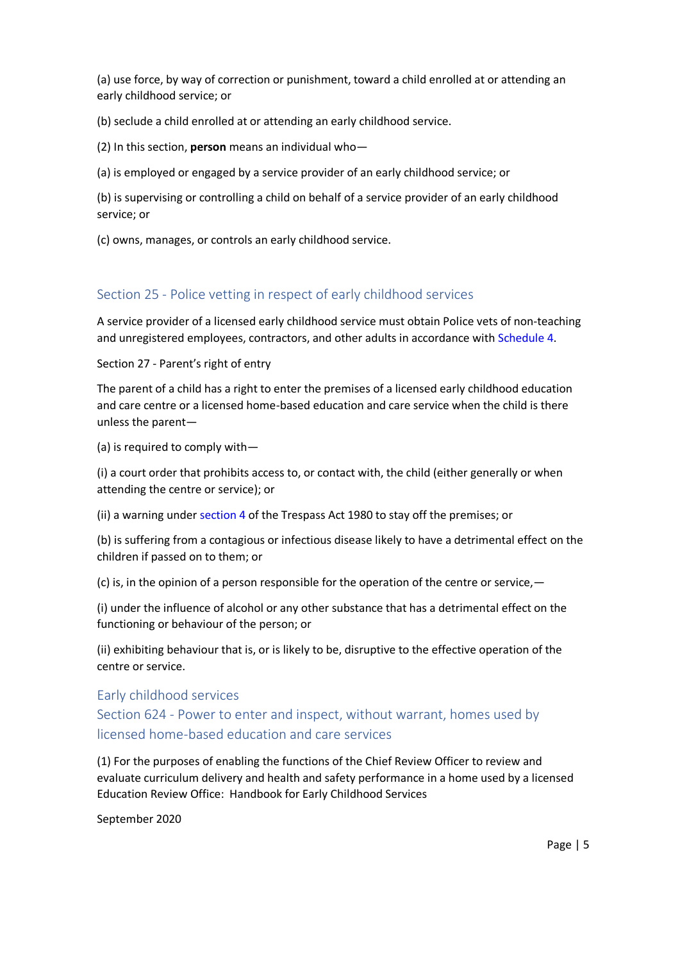(a) use force, by way of correction or punishment, toward a child enrolled at or attending an early childhood service; or

(b) seclude a child enrolled at or attending an early childhood service.

(2) In this section, **person** means an individual who—

(a) is employed or engaged by a service provider of an early childhood service; or

(b) is supervising or controlling a child on behalf of a service provider of an early childhood service; or

(c) owns, manages, or controls an early childhood service.

### Section 25 - Police vetting in respect of early childhood services

A service provider of a licensed early childhood service must obtain Police vets of non-teaching and unregistered employees, contractors, and other adults in accordance with [Schedule 4.](http://www.legislation.govt.nz/act/public/2020/0038/latest/whole.html?search=ta_act_E_ac%40ainf%40anif_an%40bn%40rn_25_a&p=1#LMS176165)

Section 27 - Parent's right of entry

The parent of a child has a right to enter the premises of a licensed early childhood education and care centre or a licensed home-based education and care service when the child is there unless the parent—

(a) is required to comply with—

(i) a court order that prohibits access to, or contact with, the child (either generally or when attending the centre or service); or

(ii) a warning under [section 4](http://www.legislation.govt.nz/act/public/2020/0038/latest/link.aspx?search=ta_act_E_ac%40ainf%40anif_an%40bn%40rn_25_a&p=1&id=DLM36944#DLM36944) of the Trespass Act 1980 to stay off the premises; or

(b) is suffering from a contagious or infectious disease likely to have a detrimental effect on the children if passed on to them; or

(c) is, in the opinion of a person responsible for the operation of the centre or service,  $-$ 

(i) under the influence of alcohol or any other substance that has a detrimental effect on the functioning or behaviour of the person; or

(ii) exhibiting behaviour that is, or is likely to be, disruptive to the effective operation of the centre or service.

Early childhood services

Section 624 - Power to enter and inspect, without warrant, homes used by licensed home-based education and care services

Education Review Office: Handbook for Early Childhood Services (1) For the purposes of enabling the functions of the Chief Review Officer to review and evaluate curriculum delivery and health and safety performance in a home used by a licensed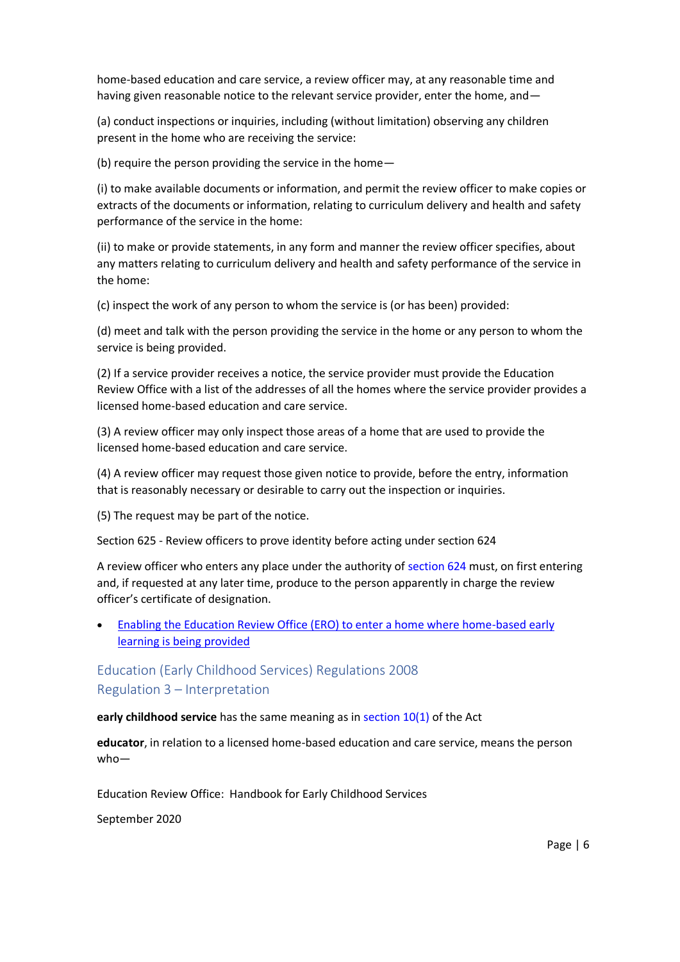home-based education and care service, a review officer may, at any reasonable time and having given reasonable notice to the relevant service provider, enter the home, and—

(a) conduct inspections or inquiries, including (without limitation) observing any children present in the home who are receiving the service:

(b) require the person providing the service in the home—

(i) to make available documents or information, and permit the review officer to make copies or extracts of the documents or information, relating to curriculum delivery and health and safety performance of the service in the home:

(ii) to make or provide statements, in any form and manner the review officer specifies, about any matters relating to curriculum delivery and health and safety performance of the service in the home:

(c) inspect the work of any person to whom the service is (or has been) provided:

(d) meet and talk with the person providing the service in the home or any person to whom the service is being provided.

(2) If a service provider receives a notice, the service provider must provide the Education Review Office with a list of the addresses of all the homes where the service provider provides a licensed home-based education and care service.

(3) A review officer may only inspect those areas of a home that are used to provide the licensed home-based education and care service.

(4) A review officer may request those given notice to provide, before the entry, information that is reasonably necessary or desirable to carry out the inspection or inquiries.

(5) The request may be part of the notice.

Section 625 - Review officers to prove identity before acting under section 624

A review officer who enters any place under the authority of [section 624](http://www.legislation.govt.nz/act/public/2020/0038/latest/whole.html?search=ta_act_E_ac%40ainf%40anif_an%40bn%40rn_25_a&p=1#LMS171343) must, on first entering and, if requested at any later time, produce to the person apparently in charge the review officer's certificate of designation.

• Enabling [the Education Review Office \(ERO\) to enter a home where home-based early](https://www.education.govt.nz/our-work/legislation/education-and-training-act-2020/changes-relating-to-early-childhood-education-ece-me-nga-kohanga-reo/#enterahome)  [learning is being provided](https://www.education.govt.nz/our-work/legislation/education-and-training-act-2020/changes-relating-to-early-childhood-education-ece-me-nga-kohanga-reo/#enterahome)

# Education (Early Childhood Services) Regulations 2008 Regulation 3 – Interpretation

**early childhood service** has the same meaning as in [section 10\(1\)](http://www.legislation.govt.nz/regulation/public/2008/0204/latest/link.aspx?search=ta_regulation_E_rc%40rinf%40rnif_an%40bn%40rn_25_a&p=1&id=LMS171311#LMS171311) of the Act

**educator**, in relation to a licensed home-based education and care service, means the person who—

Education Review Office: Handbook for Early Childhood Services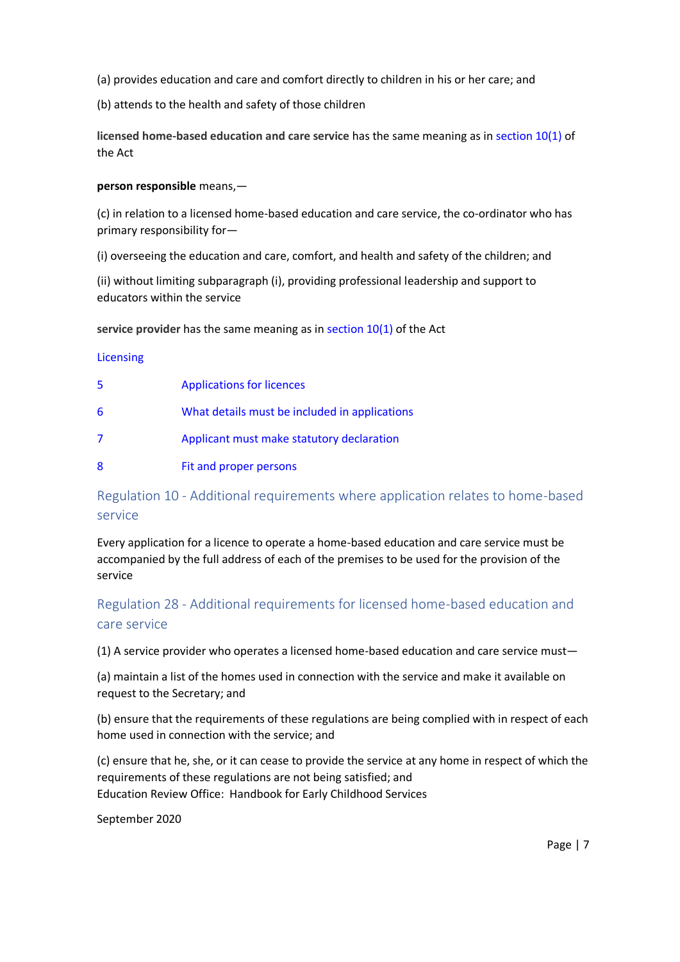- (a) provides education and care and comfort directly to children in his or her care; and
- (b) attends to the health and safety of those children

**licensed home-based education and care service** has the same meaning as in [section 10\(1\)](http://www.legislation.govt.nz/regulation/public/2008/0204/latest/link.aspx?search=ta_regulation_E_rc%40rinf%40rnif_an%40bn%40rn_25_a&p=1&id=LMS171311#LMS171311) of the Act

#### **person responsible** means,—

(c) in relation to a licensed home-based education and care service, the co-ordinator who has primary responsibility for—

(i) overseeing the education and care, comfort, and health and safety of the children; and

(ii) without limiting subparagraph (i), providing professional leadership and support to educators within the service

#### **service provider** has the same meaning as in [section 10\(1\)](http://www.legislation.govt.nz/regulation/public/2008/0204/latest/link.aspx?search=ta_regulation_E_rc%40rinf%40rnif_an%40bn%40rn_25_a&p=1&id=LMS171311#LMS171311) of the Act

#### [Licensing](http://www.legislation.govt.nz/regulation/public/2008/0204/latest/link.aspx?search=ta_regulation_E_rc%40rinf%40rnif_an%40bn%40rn_25_a&p=1&id=DLM1412557)

| 5 | <b>Applications for licences</b>              |
|---|-----------------------------------------------|
| 6 | What details must be included in applications |
| 7 | Applicant must make statutory declaration     |
| 8 | Fit and proper persons                        |

# Regulation 10 - Additional requirements where application relates to home-based service

Every application for a licence to operate a home-based education and care service must be accompanied by the full address of each of the premises to be used for the provision of the service

Regulation 28 - Additional requirements for licensed home-based education and care service

(1) A service provider who operates a licensed home-based education and care service must—

(a) maintain a list of the homes used in connection with the service and make it available on request to the Secretary; and

(b) ensure that the requirements of these regulations are being complied with in respect of each home used in connection with the service; and

Education Review Office: Handbook for Early Childhood Services (c) ensure that he, she, or it can cease to provide the service at any home in respect of which the requirements of these regulations are not being satisfied; and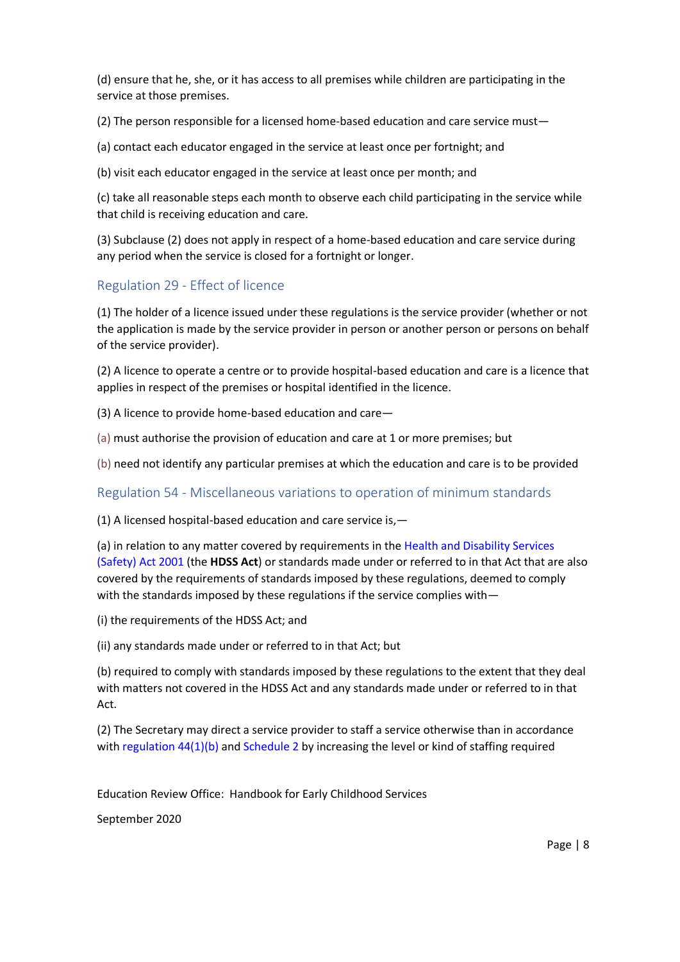(d) ensure that he, she, or it has access to all premises while children are participating in the service at those premises.

(2) The person responsible for a licensed home-based education and care service must—

(a) contact each educator engaged in the service at least once per fortnight; and

(b) visit each educator engaged in the service at least once per month; and

(c) take all reasonable steps each month to observe each child participating in the service while that child is receiving education and care.

(3) Subclause (2) does not apply in respect of a home-based education and care service during any period when the service is closed for a fortnight or longer.

## Regulation 29 - Effect of licence

(1) The holder of a licence issued under these regulations is the service provider (whether or not the application is made by the service provider in person or another person or persons on behalf of the service provider).

(2) A licence to operate a centre or to provide hospital-based education and care is a licence that applies in respect of the premises or hospital identified in the licence.

(3) A licence to provide home-based education and care—

(a) must authorise the provision of education and care at 1 or more premises; but

(b) need not identify any particular premises at which the education and care is to be provided

Regulation 54 - Miscellaneous variations to operation of minimum standards

(1) A licensed hospital-based education and care service is,—

(a) in relation to any matter covered by requirements in the [Health and Disability Services](http://www.legislation.govt.nz/regulation/public/2008/0204/latest/link.aspx?search=ta_regulation_E_rc%40rinf%40rnif_an%40bn%40rn_25_a&p=1&id=DLM119974)  [\(Safety\) Act 2001](http://www.legislation.govt.nz/regulation/public/2008/0204/latest/link.aspx?search=ta_regulation_E_rc%40rinf%40rnif_an%40bn%40rn_25_a&p=1&id=DLM119974) (the **HDSS Act**) or standards made under or referred to in that Act that are also covered by the requirements of standards imposed by these regulations, deemed to comply with the standards imposed by these regulations if the service complies with—

(i) the requirements of the HDSS Act; and

(ii) any standards made under or referred to in that Act; but

(b) required to comply with standards imposed by these regulations to the extent that they deal with matters not covered in the HDSS Act and any standards made under or referred to in that Act.

(2) The Secretary may direct a service provider to staff a service otherwise than in accordance with [regulation 44\(1\)\(b\)](http://www.legislation.govt.nz/regulation/public/2008/0204/latest/whole.html?search=ta_regulation_E_rc%40rinf%40rnif_an%40bn%40rn_25_a&p=1#DLM1412611) and [Schedule 2](http://www.legislation.govt.nz/regulation/public/2008/0204/latest/whole.html?search=ta_regulation_E_rc%40rinf%40rnif_an%40bn%40rn_25_a&p=1#DLM1412637) by increasing the level or kind of staffing required

Education Review Office: Handbook for Early Childhood Services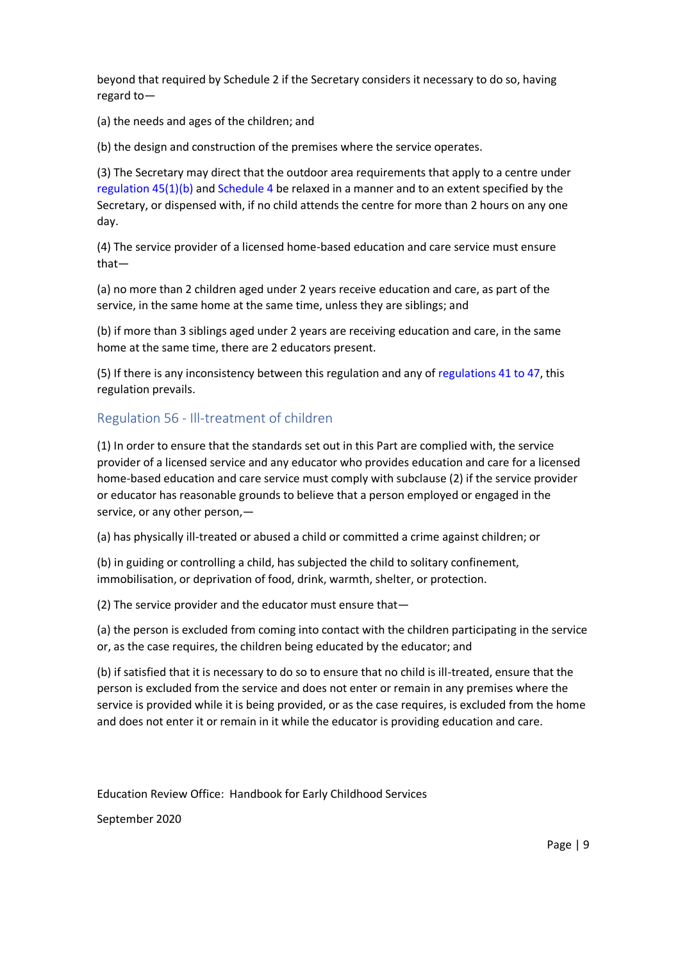beyond that required by Schedule 2 if the Secretary considers it necessary to do so, having regard to—

(a) the needs and ages of the children; and

(b) the design and construction of the premises where the service operates.

(3) The Secretary may direct that the outdoor area requirements that apply to a centre under [regulation 45\(1\)\(b\)](http://www.legislation.govt.nz/regulation/public/2008/0204/latest/whole.html?search=ta_regulation_E_rc%40rinf%40rnif_an%40bn%40rn_25_a&p=1#DLM1412618) and [Schedule 4](http://www.legislation.govt.nz/regulation/public/2008/0204/latest/whole.html?search=ta_regulation_E_rc%40rinf%40rnif_an%40bn%40rn_25_a&p=1#DLM1412645) be relaxed in a manner and to an extent specified by the Secretary, or dispensed with, if no child attends the centre for more than 2 hours on any one day.

(4) The service provider of a licensed home-based education and care service must ensure that—

(a) no more than 2 children aged under 2 years receive education and care, as part of the service, in the same home at the same time, unless they are siblings; and

(b) if more than 3 siblings aged under 2 years are receiving education and care, in the same home at the same time, there are 2 educators present.

(5) If there is any inconsistency between this regulation and any of [regulations 41 to 47,](http://www.legislation.govt.nz/regulation/public/2008/0204/latest/whole.html?search=ta_regulation_E_rc%40rinf%40rnif_an%40bn%40rn_25_a&p=1#DLM1412606) this regulation prevails.

### Regulation 56 - Ill-treatment of children

(1) In order to ensure that the standards set out in this Part are complied with, the service provider of a licensed service and any educator who provides education and care for a licensed home-based education and care service must comply with subclause (2) if the service provider or educator has reasonable grounds to believe that a person employed or engaged in the service, or any other person,—

(a) has physically ill-treated or abused a child or committed a crime against children; or

(b) in guiding or controlling a child, has subjected the child to solitary confinement, immobilisation, or deprivation of food, drink, warmth, shelter, or protection.

(2) The service provider and the educator must ensure that—

(a) the person is excluded from coming into contact with the children participating in the service or, as the case requires, the children being educated by the educator; and

(b) if satisfied that it is necessary to do so to ensure that no child is ill-treated, ensure that the person is excluded from the service and does not enter or remain in any premises where the service is provided while it is being provided, or as the case requires, is excluded from the home and does not enter it or remain in it while the educator is providing education and care.

Education Review Office: Handbook for Early Childhood Services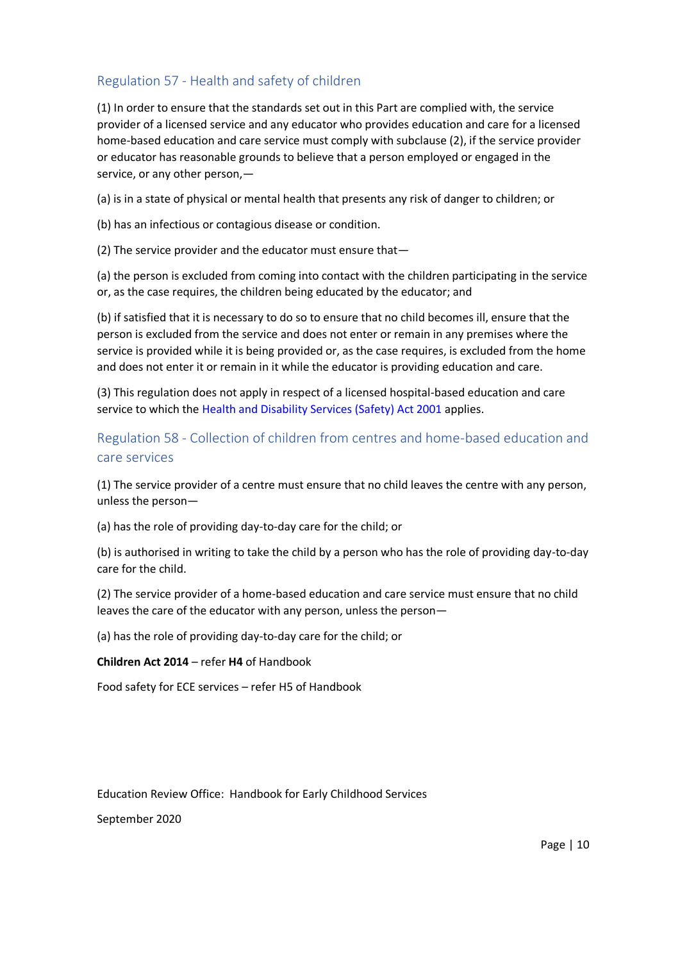## Regulation 57 - Health and safety of children

(1) In order to ensure that the standards set out in this Part are complied with, the service provider of a licensed service and any educator who provides education and care for a licensed home-based education and care service must comply with subclause (2), if the service provider or educator has reasonable grounds to believe that a person employed or engaged in the service, or any other person,—

(a) is in a state of physical or mental health that presents any risk of danger to children; or

(b) has an infectious or contagious disease or condition.

(2) The service provider and the educator must ensure that—

(a) the person is excluded from coming into contact with the children participating in the service or, as the case requires, the children being educated by the educator; and

(b) if satisfied that it is necessary to do so to ensure that no child becomes ill, ensure that the person is excluded from the service and does not enter or remain in any premises where the service is provided while it is being provided or, as the case requires, is excluded from the home and does not enter it or remain in it while the educator is providing education and care.

(3) This regulation does not apply in respect of a licensed hospital-based education and care service to which the [Health and Disability Services \(Safety\) Act 2001](http://www.legislation.govt.nz/regulation/public/2008/0204/latest/link.aspx?search=ta_regulation_E_rc%40rinf%40rnif_an%40bn%40rn_25_a&p=1&id=DLM119974) applies.

# Regulation 58 - Collection of children from centres and home-based education and care services

(1) The service provider of a centre must ensure that no child leaves the centre with any person, unless the person—

(a) has the role of providing day-to-day care for the child; or

(b) is authorised in writing to take the child by a person who has the role of providing day-to-day care for the child.

(2) The service provider of a home-based education and care service must ensure that no child leaves the care of the educator with any person, unless the person—

(a) has the role of providing day-to-day care for the child; or

**Children Act 2014** – refer **H4** of Handbook

Food safety for ECE services – refer H5 of Handbook

Education Review Office: Handbook for Early Childhood Services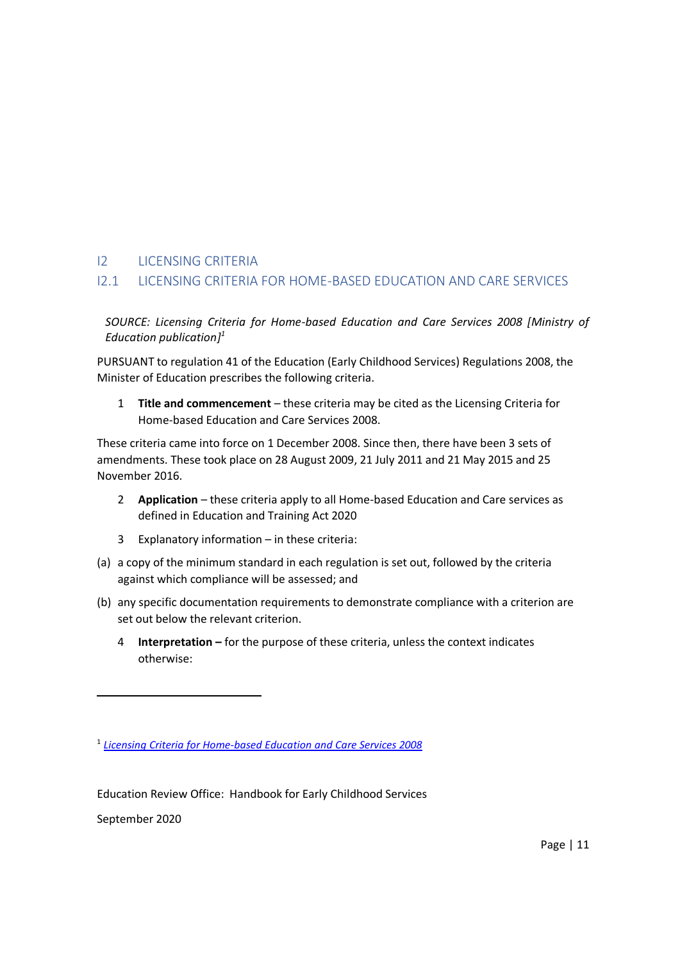### I2 LICENSING CRITERIA

### I2.1 LICENSING CRITERIA FOR HOME-BASED EDUCATION AND CARE SERVICES

*SOURCE: Licensing Criteria for Home-based Education and Care Services 2008 [Ministry of Education publication] 1*

PURSUANT to regulation 41 of the Education (Early Childhood Services) Regulations 2008, the Minister of Education prescribes the following criteria.

1 **Title and commencement** – these criteria may be cited as the Licensing Criteria for Home-based Education and Care Services 2008.

These criteria came into force on 1 December 2008. Since then, there have been 3 sets of amendments. These took place on 28 August 2009, 21 July 2011 and 21 May 2015 and 25 November 2016.

- 2 **Application** these criteria apply to all Home-based Education and Care services as defined in Education and Training Act 2020
- 3 Explanatory information in these criteria:
- (a) a copy of the minimum standard in each regulation is set out, followed by the criteria against which compliance will be assessed; and
- (b) any specific documentation requirements to demonstrate compliance with a criterion are set out below the relevant criterion.
	- 4 **Interpretation –** for the purpose of these criteria, unless the context indicates otherwise:

Education Review Office: Handbook for Early Childhood Services

September 2020

1

<sup>1</sup> *[Licensing Criteria for Home-based Education and Care Services 2008](http://www.education.govt.nz/assets/Documents/Early-Childhood/Licensing-criteria/Home-based-ECE-services/Licensing-Criteria-Nov-2016-Home-based.pdf)*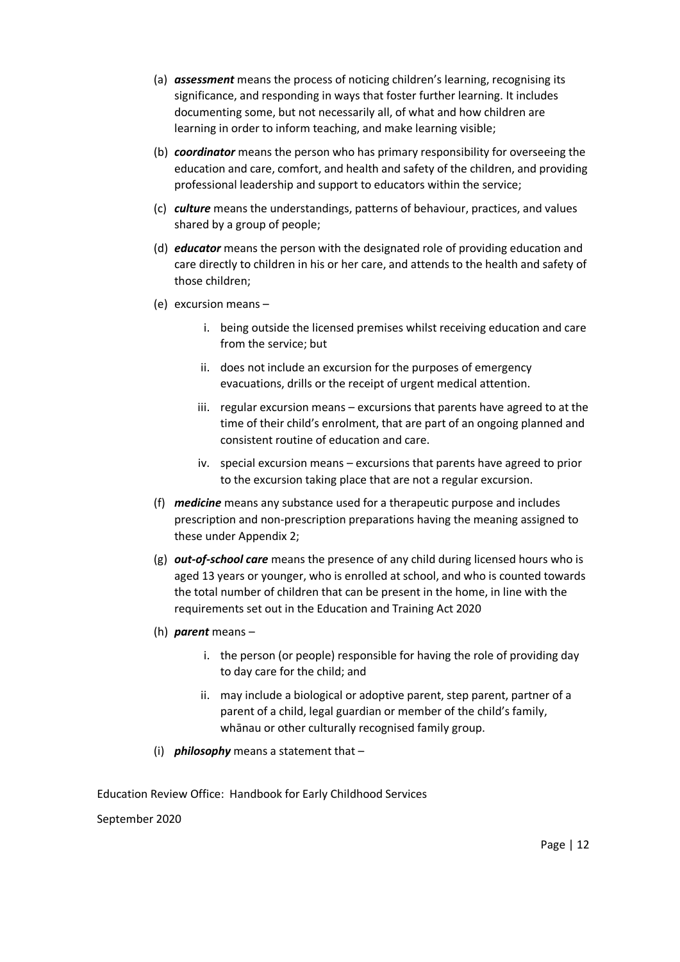- (a) *assessment* means the process of noticing children's learning, recognising its significance, and responding in ways that foster further learning. It includes documenting some, but not necessarily all, of what and how children are learning in order to inform teaching, and make learning visible;
- (b) *coordinator* means the person who has primary responsibility for overseeing the education and care, comfort, and health and safety of the children, and providing professional leadership and support to educators within the service;
- (c) *culture* means the understandings, patterns of behaviour, practices, and values shared by a group of people;
- (d) *educator* means the person with the designated role of providing education and care directly to children in his or her care, and attends to the health and safety of those children;
- (e) excursion means
	- i. being outside the licensed premises whilst receiving education and care from the service; but
	- ii. does not include an excursion for the purposes of emergency evacuations, drills or the receipt of urgent medical attention.
	- iii. regular excursion means excursions that parents have agreed to at the time of their child's enrolment, that are part of an ongoing planned and consistent routine of education and care.
	- iv. special excursion means excursions that parents have agreed to prior to the excursion taking place that are not a regular excursion.
- (f) *medicine* means any substance used for a therapeutic purpose and includes prescription and non-prescription preparations having the meaning assigned to these under Appendix 2;
- (g) *out-of-school care* means the presence of any child during licensed hours who is aged 13 years or younger, who is enrolled at school, and who is counted towards the total number of children that can be present in the home, in line with the requirements set out in the Education and Training Act 2020
- (h) *parent* means
	- i. the person (or people) responsible for having the role of providing day to day care for the child; and
	- ii. may include a biological or adoptive parent, step parent, partner of a parent of a child, legal guardian or member of the child's family, whānau or other culturally recognised family group.
- (i) *philosophy* means a statement that –

Education Review Office: Handbook for Early Childhood Services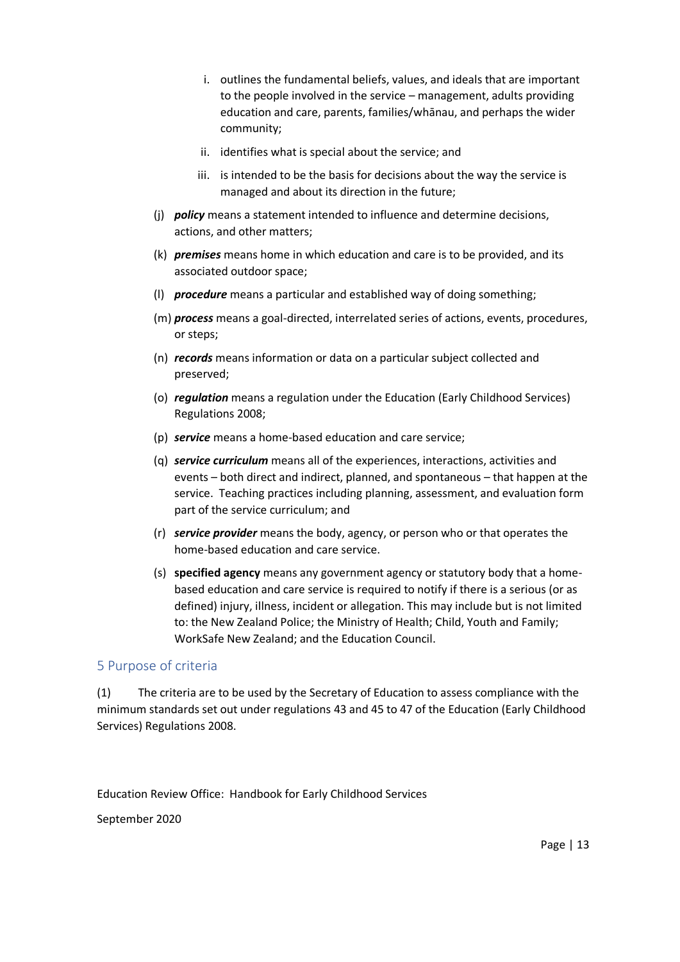- i. outlines the fundamental beliefs, values, and ideals that are important to the people involved in the service – management, adults providing education and care, parents, families/whānau, and perhaps the wider community;
- ii. identifies what is special about the service; and
- iii. is intended to be the basis for decisions about the way the service is managed and about its direction in the future;
- (j) *policy* means a statement intended to influence and determine decisions, actions, and other matters;
- (k) *premises* means home in which education and care is to be provided, and its associated outdoor space;
- (l) *procedure* means a particular and established way of doing something;
- (m) *process* means a goal-directed, interrelated series of actions, events, procedures, or steps;
- (n) *records* means information or data on a particular subject collected and preserved;
- (o) *regulation* means a regulation under the Education (Early Childhood Services) Regulations 2008;
- (p) *service* means a home-based education and care service;
- (q) *service curriculum* means all of the experiences, interactions, activities and events – both direct and indirect, planned, and spontaneous – that happen at the service. Teaching practices including planning, assessment, and evaluation form part of the service curriculum; and
- (r) *service provider* means the body, agency, or person who or that operates the home-based education and care service.
- (s) **specified agency** means any government agency or statutory body that a homebased education and care service is required to notify if there is a serious (or as defined) injury, illness, incident or allegation. This may include but is not limited to: the New Zealand Police; the Ministry of Health; Child, Youth and Family; WorkSafe New Zealand; and the Education Council.

#### 5 Purpose of criteria

(1) The criteria are to be used by the Secretary of Education to assess compliance with the minimum standards set out under regulations 43 and 45 to 47 of the Education (Early Childhood Services) Regulations 2008.

Education Review Office: Handbook for Early Childhood Services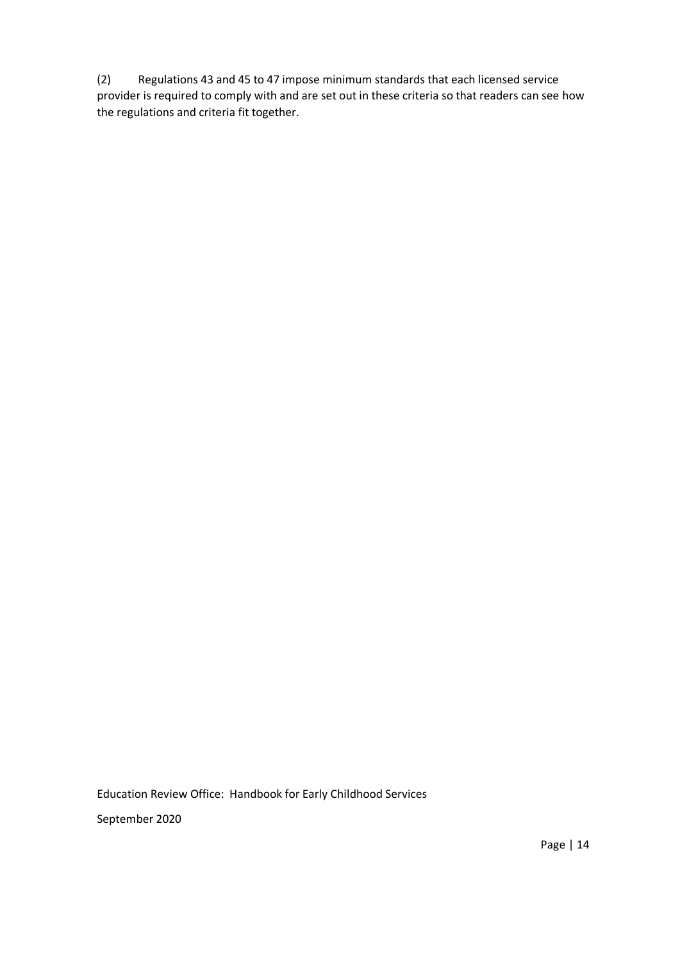(2) Regulations 43 and 45 to 47 impose minimum standards that each licensed service provider is required to comply with and are set out in these criteria so that readers can see how the regulations and criteria fit together.

Education Review Office: Handbook for Early Childhood Services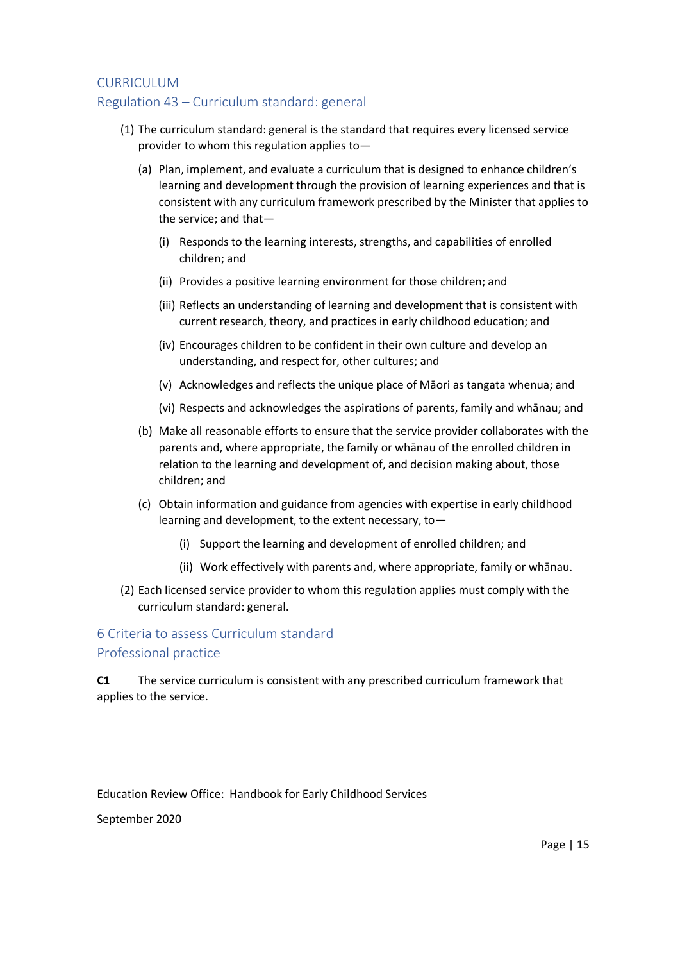#### CURRICULUM

### Regulation 43 – Curriculum standard: general

- (1) The curriculum standard: general is the standard that requires every licensed service provider to whom this regulation applies to—
	- (a) Plan, implement, and evaluate a curriculum that is designed to enhance children's learning and development through the provision of learning experiences and that is consistent with any curriculum framework prescribed by the Minister that applies to the service; and that—
		- (i) Responds to the learning interests, strengths, and capabilities of enrolled children; and
		- (ii) Provides a positive learning environment for those children; and
		- (iii) Reflects an understanding of learning and development that is consistent with current research, theory, and practices in early childhood education; and
		- (iv) Encourages children to be confident in their own culture and develop an understanding, and respect for, other cultures; and
		- (v) Acknowledges and reflects the unique place of Māori as tangata whenua; and
		- (vi) Respects and acknowledges the aspirations of parents, family and whānau; and
	- (b) Make all reasonable efforts to ensure that the service provider collaborates with the parents and, where appropriate, the family or whānau of the enrolled children in relation to the learning and development of, and decision making about, those children; and
	- (c) Obtain information and guidance from agencies with expertise in early childhood learning and development, to the extent necessary, to—
		- (i) Support the learning and development of enrolled children; and
		- (ii) Work effectively with parents and, where appropriate, family or whānau.
- (2) Each licensed service provider to whom this regulation applies must comply with the curriculum standard: general.

### 6 Criteria to assess Curriculum standard Professional practice

**C1** The service curriculum is consistent with any prescribed curriculum framework that applies to the service.

Education Review Office: Handbook for Early Childhood Services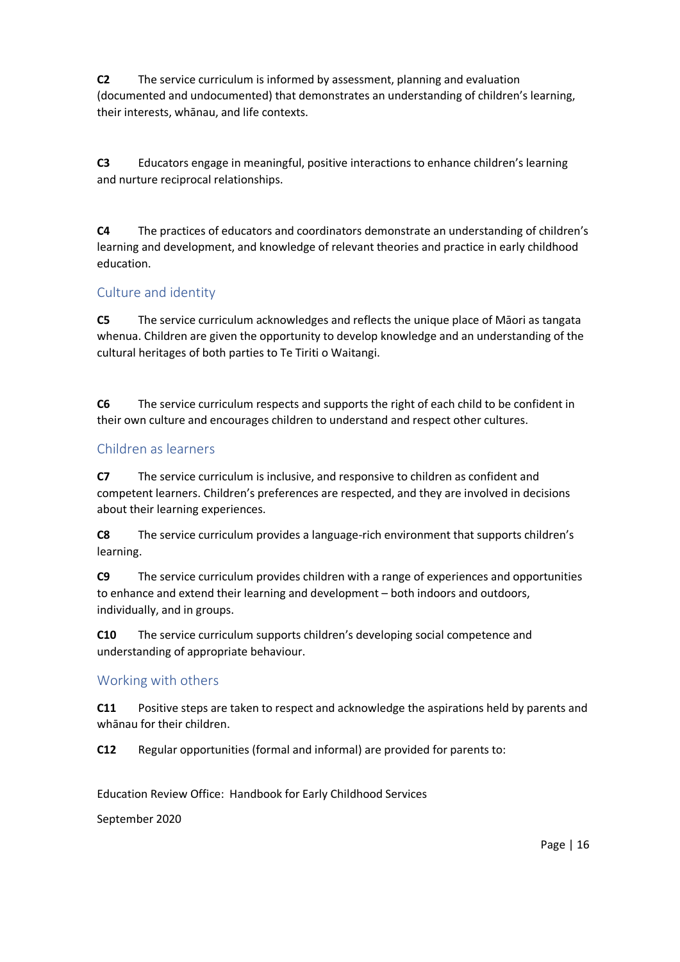**C2** The service curriculum is informed by assessment, planning and evaluation (documented and undocumented) that demonstrates an understanding of children's learning, their interests, whānau, and life contexts.

**C3** Educators engage in meaningful, positive interactions to enhance children's learning and nurture reciprocal relationships.

**C4** The practices of educators and coordinators demonstrate an understanding of children's learning and development, and knowledge of relevant theories and practice in early childhood education.

### Culture and identity

**C5** The service curriculum acknowledges and reflects the unique place of Māori as tangata whenua. Children are given the opportunity to develop knowledge and an understanding of the cultural heritages of both parties to Te Tiriti o Waitangi.

**C6** The service curriculum respects and supports the right of each child to be confident in their own culture and encourages children to understand and respect other cultures.

### Children as learners

**C7** The service curriculum is inclusive, and responsive to children as confident and competent learners. Children's preferences are respected, and they are involved in decisions about their learning experiences.

**C8** The service curriculum provides a language-rich environment that supports children's learning.

**C9** The service curriculum provides children with a range of experiences and opportunities to enhance and extend their learning and development – both indoors and outdoors, individually, and in groups.

**C10** The service curriculum supports children's developing social competence and understanding of appropriate behaviour.

### Working with others

**C11** Positive steps are taken to respect and acknowledge the aspirations held by parents and whānau for their children.

**C12** Regular opportunities (formal and informal) are provided for parents to:

Education Review Office: Handbook for Early Childhood Services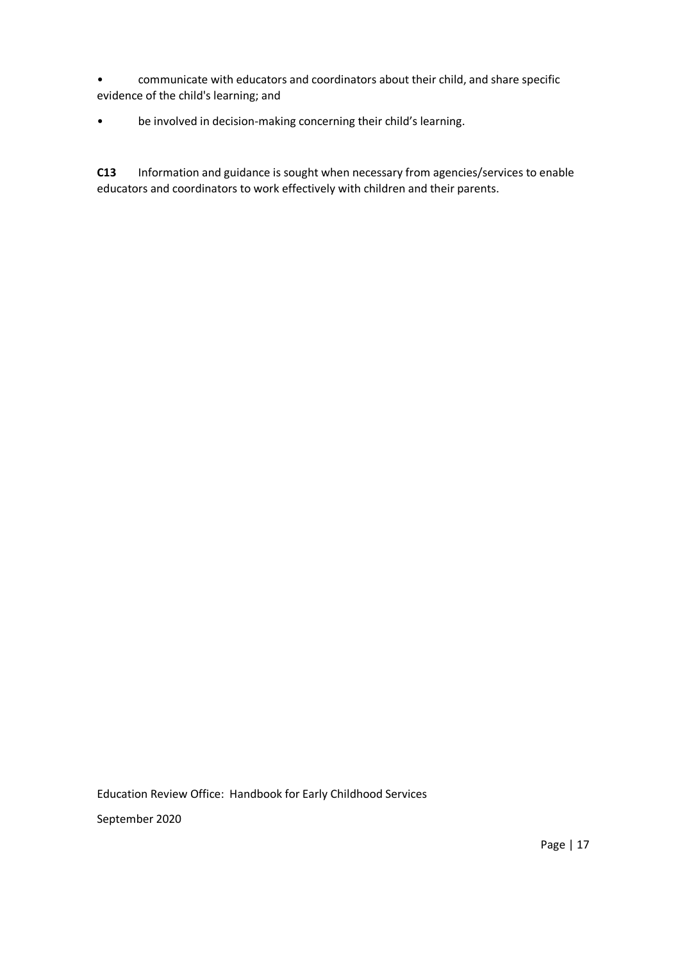• communicate with educators and coordinators about their child, and share specific evidence of the child's learning; and

### • be involved in decision-making concerning their child's learning.

**C13** Information and guidance is sought when necessary from agencies/services to enable educators and coordinators to work effectively with children and their parents.

Education Review Office: Handbook for Early Childhood Services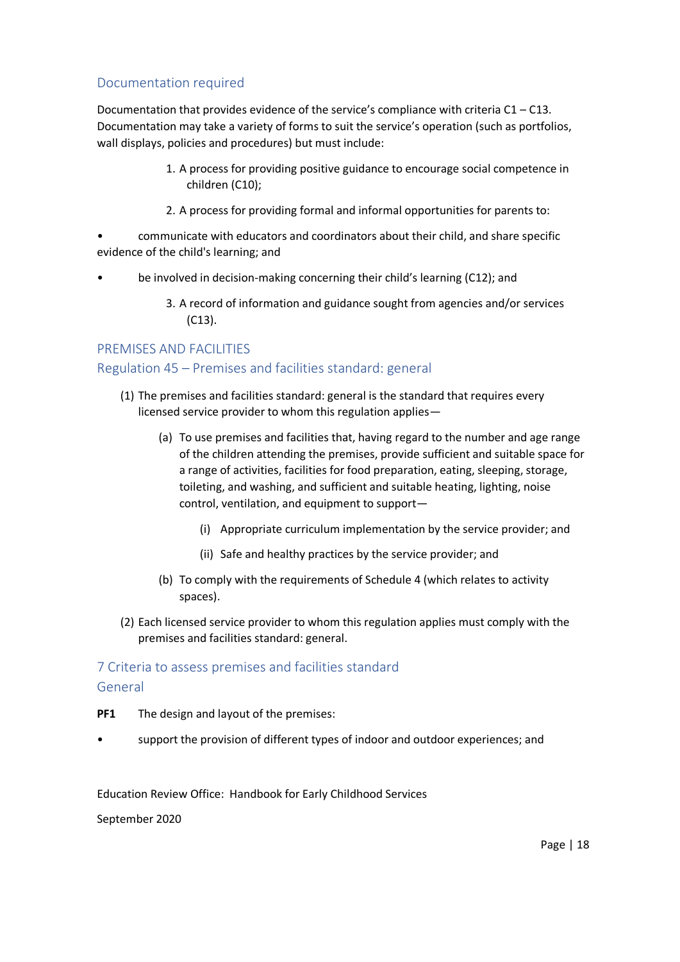## Documentation required

Documentation that provides evidence of the service's compliance with criteria  $C1 - C13$ . Documentation may take a variety of forms to suit the service's operation (such as portfolios, wall displays, policies and procedures) but must include:

- 1. A process for providing positive guidance to encourage social competence in children (C10);
- 2. A process for providing formal and informal opportunities for parents to:
- communicate with educators and coordinators about their child, and share specific evidence of the child's learning; and
- be involved in decision-making concerning their child's learning (C12); and
	- 3. A record of information and guidance sought from agencies and/or services (C13).

### PREMISES AND FACILITIES

### Regulation 45 – Premises and facilities standard: general

- (1) The premises and facilities standard: general is the standard that requires every licensed service provider to whom this regulation applies—
	- (a) To use premises and facilities that, having regard to the number and age range of the children attending the premises, provide sufficient and suitable space for a range of activities, facilities for food preparation, eating, sleeping, storage, toileting, and washing, and sufficient and suitable heating, lighting, noise control, ventilation, and equipment to support—
		- (i) Appropriate curriculum implementation by the service provider; and
		- (ii) Safe and healthy practices by the service provider; and
	- (b) To comply with the requirements of Schedule 4 (which relates to activity spaces).
- (2) Each licensed service provider to whom this regulation applies must comply with the premises and facilities standard: general.

# 7 Criteria to assess premises and facilities standard General

- **PF1** The design and layout of the premises:
- support the provision of different types of indoor and outdoor experiences; and

Education Review Office: Handbook for Early Childhood Services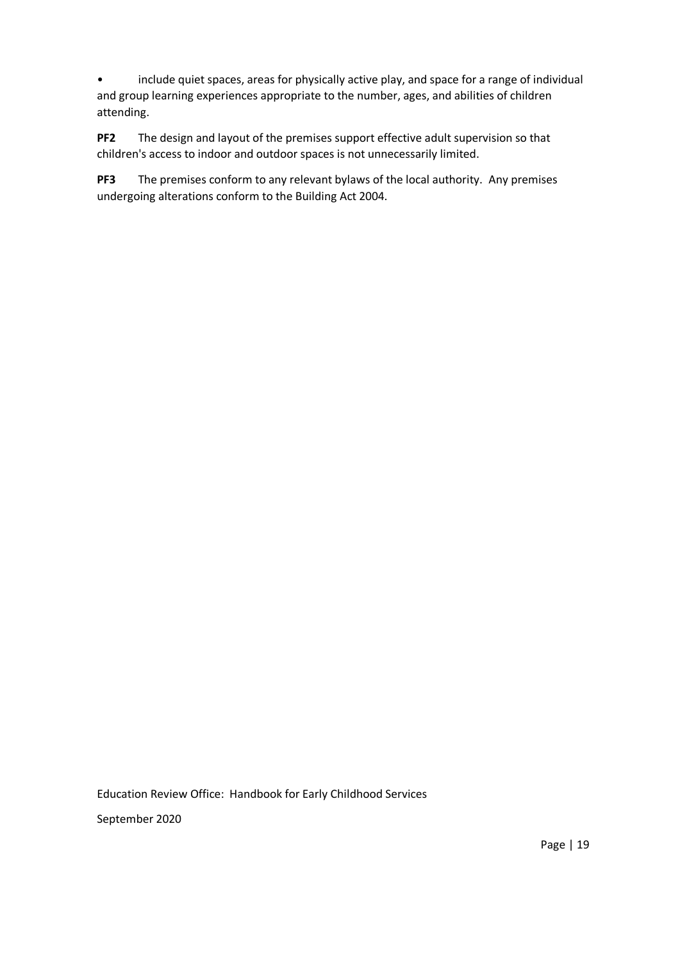• include quiet spaces, areas for physically active play, and space for a range of individual and group learning experiences appropriate to the number, ages, and abilities of children attending.

**PF2** The design and layout of the premises support effective adult supervision so that children's access to indoor and outdoor spaces is not unnecessarily limited.

**PF3** The premises conform to any relevant bylaws of the local authority. Any premises undergoing alterations conform to the Building Act 2004.

Education Review Office: Handbook for Early Childhood Services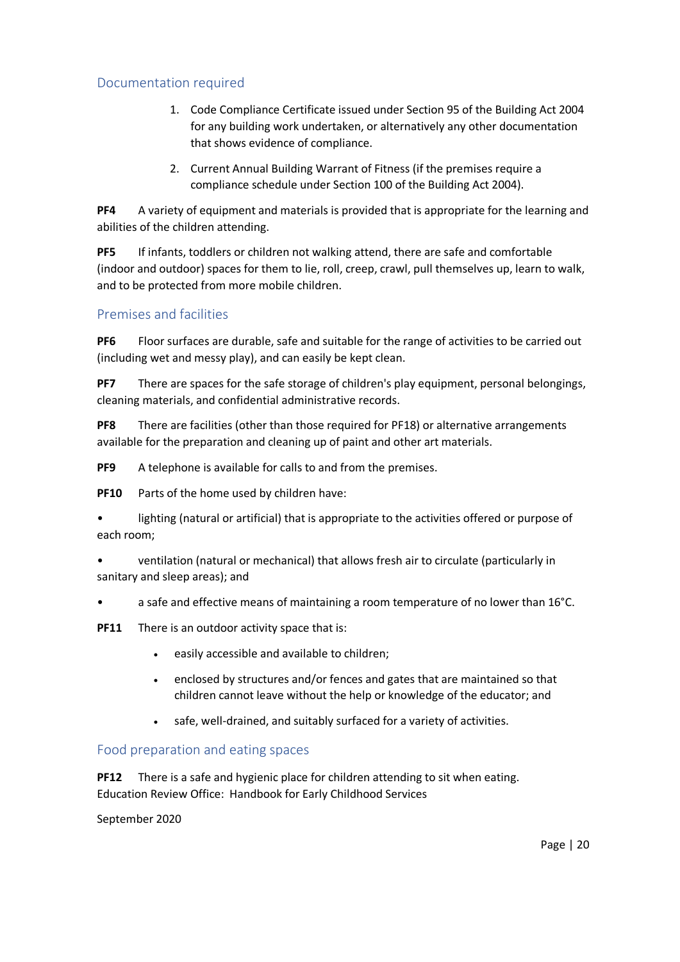## Documentation required

- 1. Code Compliance Certificate issued under Section 95 of the Building Act 2004 for any building work undertaken, or alternatively any other documentation that shows evidence of compliance.
- 2. Current Annual Building Warrant of Fitness (if the premises require a compliance schedule under Section 100 of the Building Act 2004).

**PF4** A variety of equipment and materials is provided that is appropriate for the learning and abilities of the children attending.

**PF5** If infants, toddlers or children not walking attend, there are safe and comfortable (indoor and outdoor) spaces for them to lie, roll, creep, crawl, pull themselves up, learn to walk, and to be protected from more mobile children.

### Premises and facilities

**PF6** Floor surfaces are durable, safe and suitable for the range of activities to be carried out (including wet and messy play), and can easily be kept clean.

**PF7** There are spaces for the safe storage of children's play equipment, personal belongings, cleaning materials, and confidential administrative records.

**PF8** There are facilities (other than those required for PF18) or alternative arrangements available for the preparation and cleaning up of paint and other art materials.

**PF9** A telephone is available for calls to and from the premises.

**PF10** Parts of the home used by children have:

lighting (natural or artificial) that is appropriate to the activities offered or purpose of each room;

• ventilation (natural or mechanical) that allows fresh air to circulate (particularly in sanitary and sleep areas); and

• a safe and effective means of maintaining a room temperature of no lower than 16°C.

**PF11** There is an outdoor activity space that is:

- easily accessible and available to children;
- enclosed by structures and/or fences and gates that are maintained so that children cannot leave without the help or knowledge of the educator; and
- safe, well-drained, and suitably surfaced for a variety of activities.

### Food preparation and eating spaces

Education Review Office: Handbook for Early Childhood Services **PF12** There is a safe and hygienic place for children attending to sit when eating.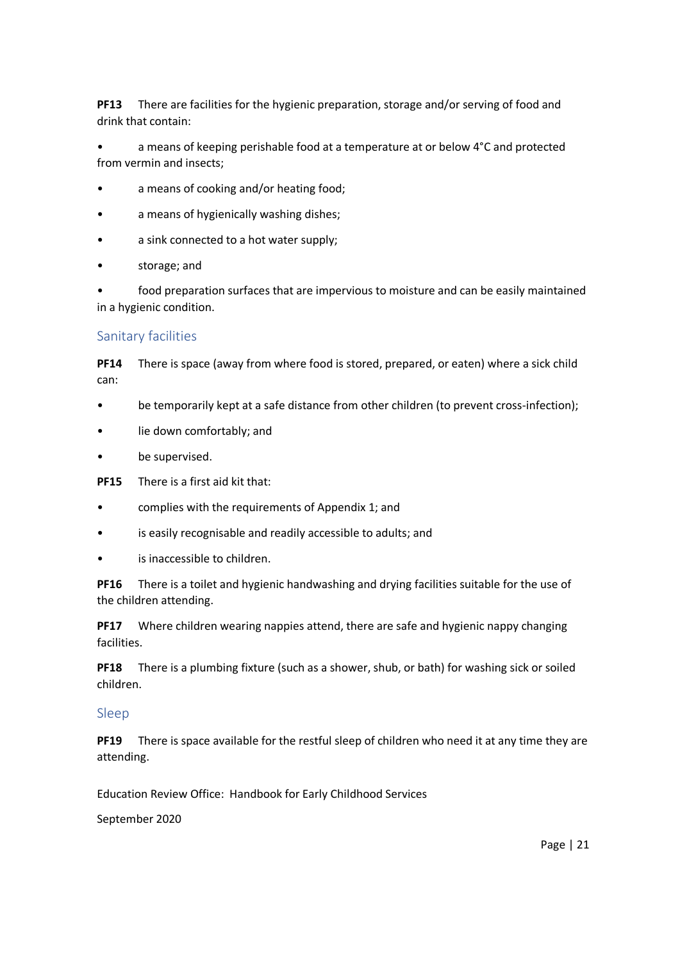**PF13** There are facilities for the hygienic preparation, storage and/or serving of food and drink that contain:

• a means of keeping perishable food at a temperature at or below 4°C and protected from vermin and insects;

- a means of cooking and/or heating food;
- a means of hygienically washing dishes;
- a sink connected to a hot water supply;
- storage; and

food preparation surfaces that are impervious to moisture and can be easily maintained in a hygienic condition.

#### Sanitary facilities

**PF14** There is space (away from where food is stored, prepared, or eaten) where a sick child can:

- be temporarily kept at a safe distance from other children (to prevent cross-infection);
- lie down comfortably; and
- be supervised.

**PF15** There is a first aid kit that:

- complies with the requirements of Appendix 1; and
- is easily recognisable and readily accessible to adults; and
- is inaccessible to children.

**PF16** There is a toilet and hygienic handwashing and drying facilities suitable for the use of the children attending.

**PF17** Where children wearing nappies attend, there are safe and hygienic nappy changing facilities.

**PF18** There is a plumbing fixture (such as a shower, shub, or bath) for washing sick or soiled children.

#### Sleep

**PF19** There is space available for the restful sleep of children who need it at any time they are attending.

Education Review Office: Handbook for Early Childhood Services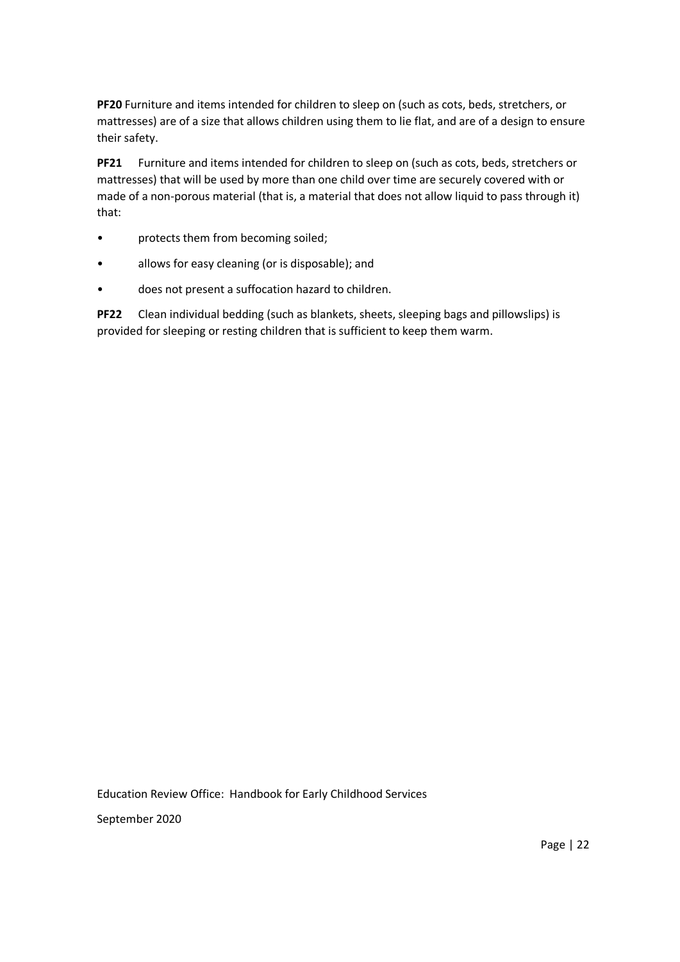**PF20** Furniture and items intended for children to sleep on (such as cots, beds, stretchers, or mattresses) are of a size that allows children using them to lie flat, and are of a design to ensure their safety.

**PF21** Furniture and items intended for children to sleep on (such as cots, beds, stretchers or mattresses) that will be used by more than one child over time are securely covered with or made of a non-porous material (that is, a material that does not allow liquid to pass through it) that:

- protects them from becoming soiled;
- allows for easy cleaning (or is disposable); and
- does not present a suffocation hazard to children.

**PF22** Clean individual bedding (such as blankets, sheets, sleeping bags and pillowslips) is provided for sleeping or resting children that is sufficient to keep them warm.

Education Review Office: Handbook for Early Childhood Services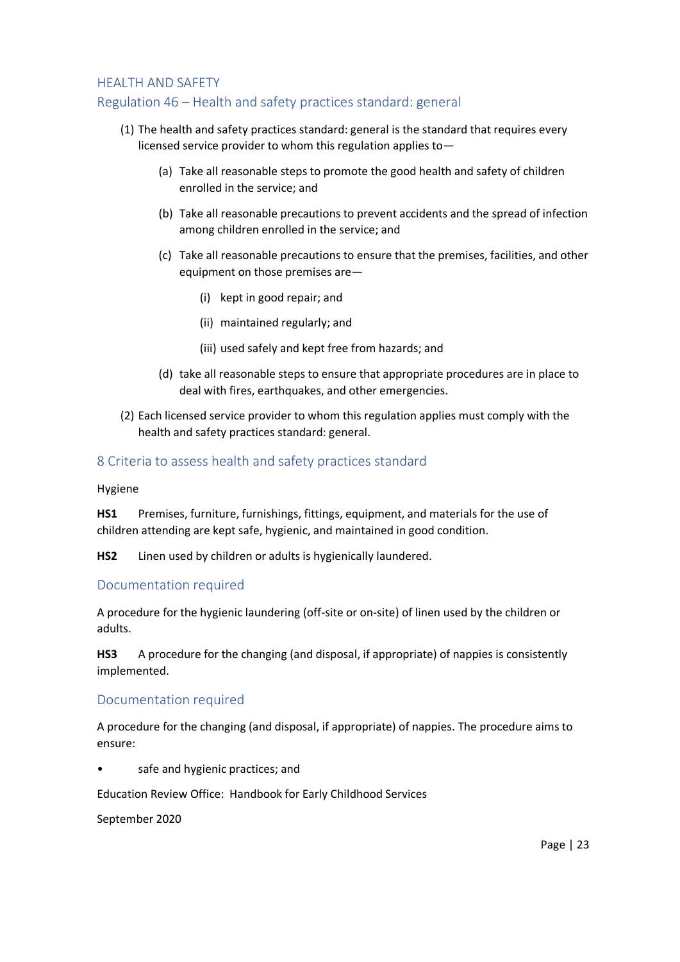#### HEALTH AND SAFETY

### Regulation 46 – Health and safety practices standard: general

- (1) The health and safety practices standard: general is the standard that requires every licensed service provider to whom this regulation applies to—
	- (a) Take all reasonable steps to promote the good health and safety of children enrolled in the service; and
	- (b) Take all reasonable precautions to prevent accidents and the spread of infection among children enrolled in the service; and
	- (c) Take all reasonable precautions to ensure that the premises, facilities, and other equipment on those premises are—
		- (i) kept in good repair; and
		- (ii) maintained regularly; and
		- (iii) used safely and kept free from hazards; and
	- (d) take all reasonable steps to ensure that appropriate procedures are in place to deal with fires, earthquakes, and other emergencies.
- (2) Each licensed service provider to whom this regulation applies must comply with the health and safety practices standard: general.

#### 8 Criteria to assess health and safety practices standard

Hygiene

**HS1** Premises, furniture, furnishings, fittings, equipment, and materials for the use of children attending are kept safe, hygienic, and maintained in good condition.

**HS2** Linen used by children or adults is hygienically laundered.

#### Documentation required

A procedure for the hygienic laundering (off-site or on-site) of linen used by the children or adults.

**HS3** A procedure for the changing (and disposal, if appropriate) of nappies is consistently implemented.

#### Documentation required

A procedure for the changing (and disposal, if appropriate) of nappies. The procedure aims to ensure:

safe and hygienic practices; and

Education Review Office: Handbook for Early Childhood Services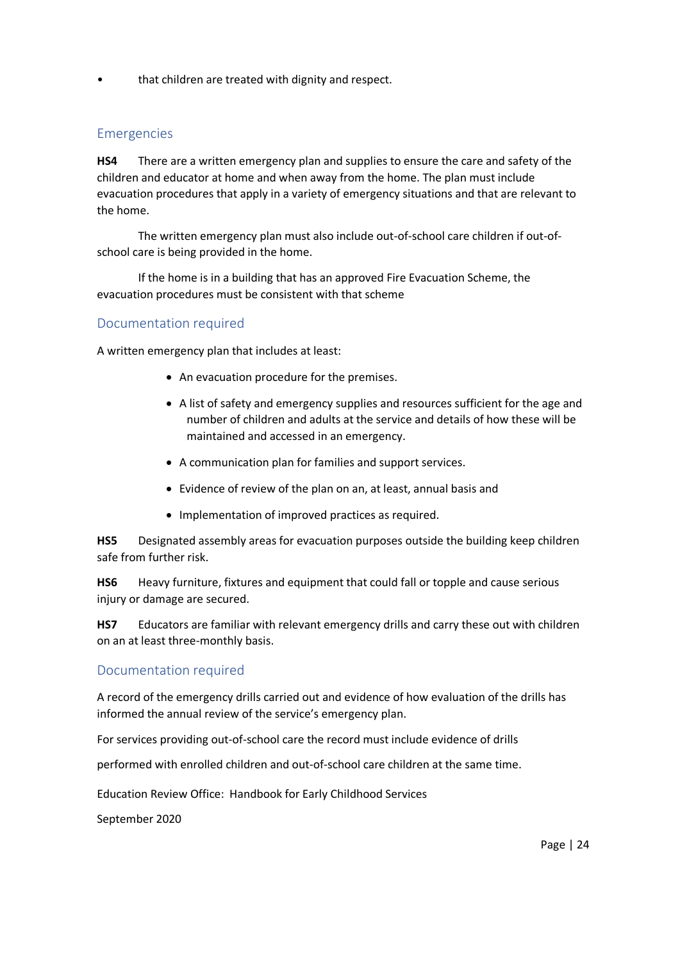• that children are treated with dignity and respect.

### Emergencies

**HS4** There are a written emergency plan and supplies to ensure the care and safety of the children and educator at home and when away from the home. The plan must include evacuation procedures that apply in a variety of emergency situations and that are relevant to the home.

The written emergency plan must also include out-of-school care children if out-ofschool care is being provided in the home.

If the home is in a building that has an approved Fire Evacuation Scheme, the evacuation procedures must be consistent with that scheme

### Documentation required

A written emergency plan that includes at least:

- An evacuation procedure for the premises.
- A list of safety and emergency supplies and resources sufficient for the age and number of children and adults at the service and details of how these will be maintained and accessed in an emergency.
- A communication plan for families and support services.
- Evidence of review of the plan on an, at least, annual basis and
- Implementation of improved practices as required.

**HS5** Designated assembly areas for evacuation purposes outside the building keep children safe from further risk.

**HS6** Heavy furniture, fixtures and equipment that could fall or topple and cause serious injury or damage are secured.

**HS7** Educators are familiar with relevant emergency drills and carry these out with children on an at least three-monthly basis.

#### Documentation required

A record of the emergency drills carried out and evidence of how evaluation of the drills has informed the annual review of the service's emergency plan.

For services providing out-of-school care the record must include evidence of drills

performed with enrolled children and out-of-school care children at the same time.

Education Review Office: Handbook for Early Childhood Services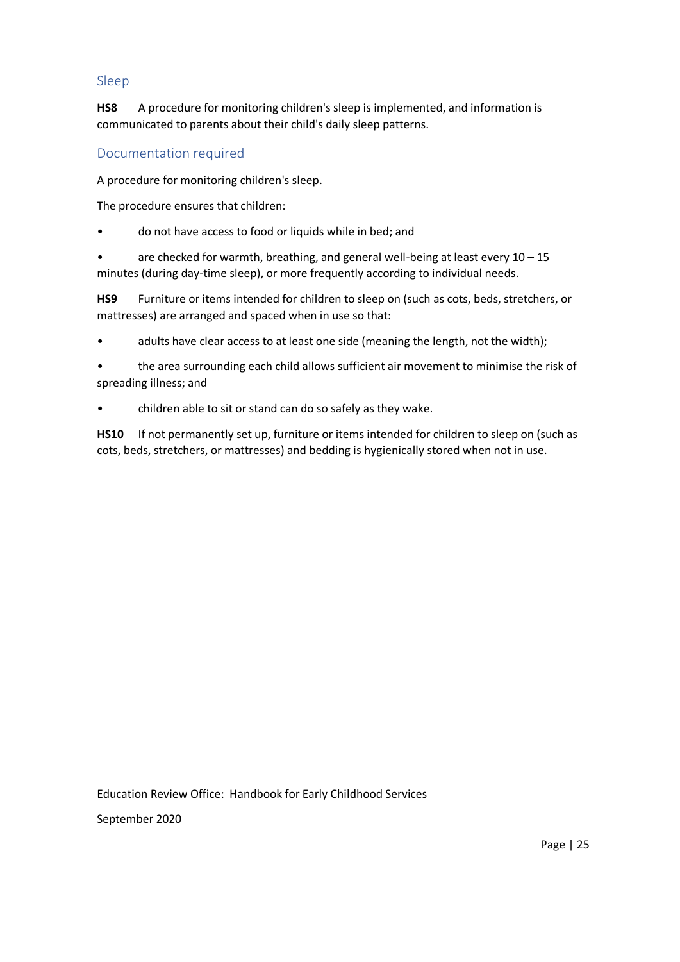### Sleep

**HS8** A procedure for monitoring children's sleep is implemented, and information is communicated to parents about their child's daily sleep patterns.

### Documentation required

A procedure for monitoring children's sleep.

The procedure ensures that children:

• do not have access to food or liquids while in bed; and

are checked for warmth, breathing, and general well-being at least every  $10 - 15$ minutes (during day-time sleep), or more frequently according to individual needs.

**HS9** Furniture or items intended for children to sleep on (such as cots, beds, stretchers, or mattresses) are arranged and spaced when in use so that:

adults have clear access to at least one side (meaning the length, not the width);

the area surrounding each child allows sufficient air movement to minimise the risk of spreading illness; and

• children able to sit or stand can do so safely as they wake.

**HS10** If not permanently set up, furniture or items intended for children to sleep on (such as cots, beds, stretchers, or mattresses) and bedding is hygienically stored when not in use.

Education Review Office: Handbook for Early Childhood Services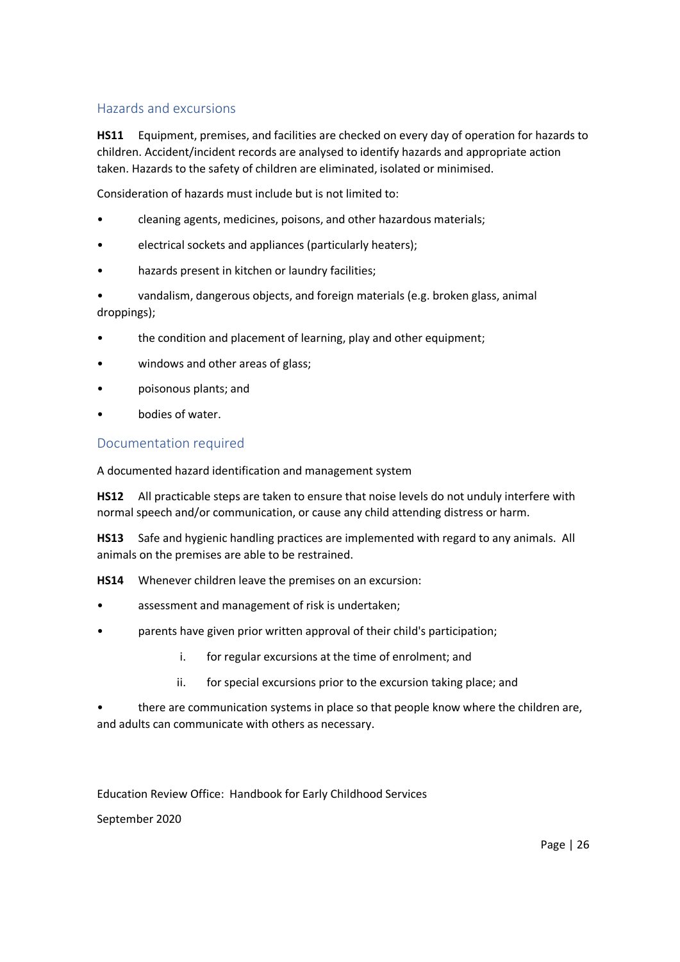### Hazards and excursions

**HS11** Equipment, premises, and facilities are checked on every day of operation for hazards to children. Accident/incident records are analysed to identify hazards and appropriate action taken. Hazards to the safety of children are eliminated, isolated or minimised.

Consideration of hazards must include but is not limited to:

- cleaning agents, medicines, poisons, and other hazardous materials;
- electrical sockets and appliances (particularly heaters);
- hazards present in kitchen or laundry facilities;
- vandalism, dangerous objects, and foreign materials (e.g. broken glass, animal droppings);
- the condition and placement of learning, play and other equipment;
- windows and other areas of glass;
- poisonous plants; and
- bodies of water.

### Documentation required

A documented hazard identification and management system

**HS12** All practicable steps are taken to ensure that noise levels do not unduly interfere with normal speech and/or communication, or cause any child attending distress or harm.

**HS13** Safe and hygienic handling practices are implemented with regard to any animals. All animals on the premises are able to be restrained.

**HS14** Whenever children leave the premises on an excursion:

- assessment and management of risk is undertaken;
- parents have given prior written approval of their child's participation;
	- i. for regular excursions at the time of enrolment; and
	- ii. for special excursions prior to the excursion taking place; and

• there are communication systems in place so that people know where the children are, and adults can communicate with others as necessary.

Education Review Office: Handbook for Early Childhood Services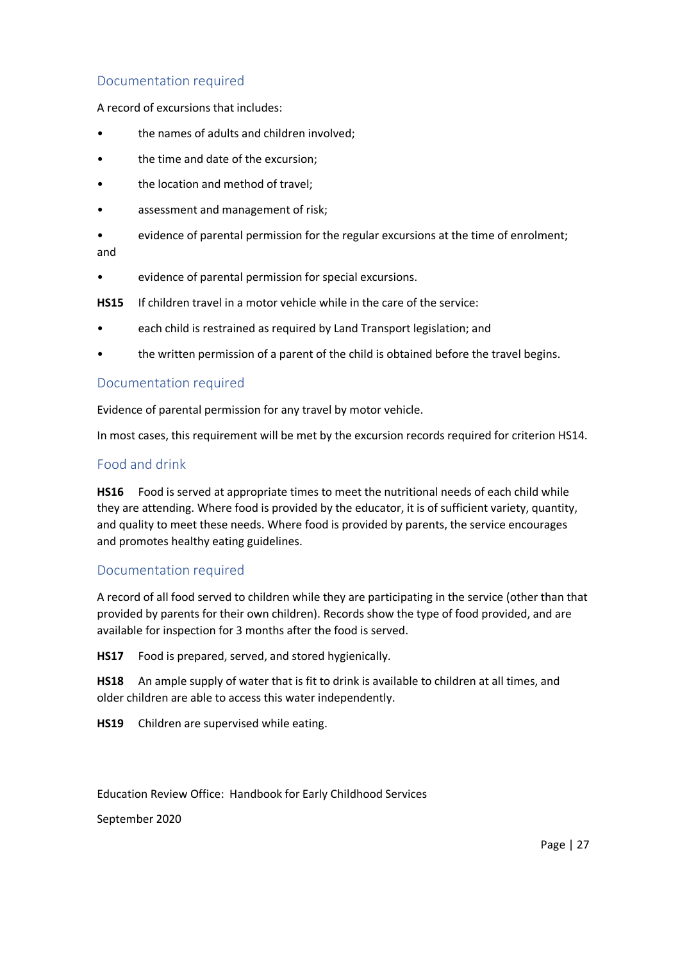### Documentation required

A record of excursions that includes:

- the names of adults and children involved;
- the time and date of the excursion;
- the location and method of travel;
- assessment and management of risk;
- evidence of parental permission for the regular excursions at the time of enrolment; and
- evidence of parental permission for special excursions.
- **HS15** If children travel in a motor vehicle while in the care of the service:
- each child is restrained as required by Land Transport legislation; and
- the written permission of a parent of the child is obtained before the travel begins.

#### Documentation required

Evidence of parental permission for any travel by motor vehicle.

In most cases, this requirement will be met by the excursion records required for criterion HS14.

### Food and drink

**HS16** Food is served at appropriate times to meet the nutritional needs of each child while they are attending. Where food is provided by the educator, it is of sufficient variety, quantity, and quality to meet these needs. Where food is provided by parents, the service encourages and promotes healthy eating guidelines.

#### Documentation required

A record of all food served to children while they are participating in the service (other than that provided by parents for their own children). Records show the type of food provided, and are available for inspection for 3 months after the food is served.

**HS17** Food is prepared, served, and stored hygienically.

**HS18** An ample supply of water that is fit to drink is available to children at all times, and older children are able to access this water independently.

**HS19** Children are supervised while eating.

Education Review Office: Handbook for Early Childhood Services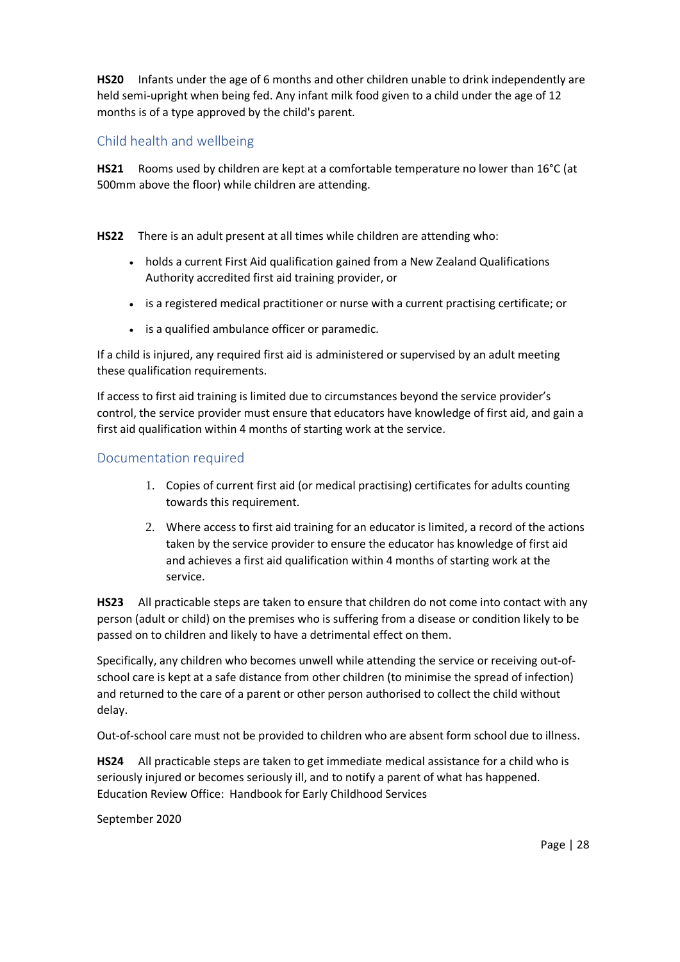**HS20** Infants under the age of 6 months and other children unable to drink independently are held semi-upright when being fed. Any infant milk food given to a child under the age of 12 months is of a type approved by the child's parent.

### Child health and wellbeing

**HS21** Rooms used by children are kept at a comfortable temperature no lower than 16°C (at 500mm above the floor) while children are attending.

**HS22** There is an adult present at all times while children are attending who:

- holds a current First Aid qualification gained from a New Zealand Qualifications Authority accredited first aid training provider, or
- is a registered medical practitioner or nurse with a current practising certificate; or
- is a qualified ambulance officer or paramedic.

If a child is injured, any required first aid is administered or supervised by an adult meeting these qualification requirements.

If access to first aid training is limited due to circumstances beyond the service provider's control, the service provider must ensure that educators have knowledge of first aid, and gain a first aid qualification within 4 months of starting work at the service.

### Documentation required

- 1. Copies of current first aid (or medical practising) certificates for adults counting towards this requirement.
- 2. Where access to first aid training for an educator is limited, a record of the actions taken by the service provider to ensure the educator has knowledge of first aid and achieves a first aid qualification within 4 months of starting work at the service.

**HS23** All practicable steps are taken to ensure that children do not come into contact with any person (adult or child) on the premises who is suffering from a disease or condition likely to be passed on to children and likely to have a detrimental effect on them.

Specifically, any children who becomes unwell while attending the service or receiving out-ofschool care is kept at a safe distance from other children (to minimise the spread of infection) and returned to the care of a parent or other person authorised to collect the child without delay.

Out-of-school care must not be provided to children who are absent form school due to illness.

Education Review Office: Handbook for Early Childhood Services **HS24** All practicable steps are taken to get immediate medical assistance for a child who is seriously injured or becomes seriously ill, and to notify a parent of what has happened.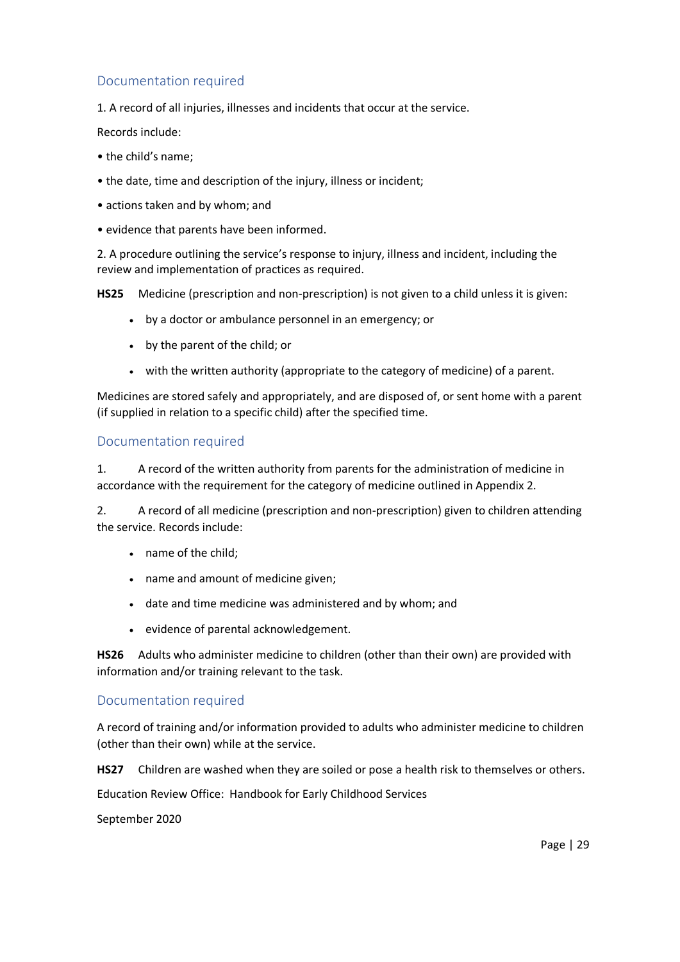### Documentation required

1. A record of all injuries, illnesses and incidents that occur at the service.

Records include:

- the child's name;
- the date, time and description of the injury, illness or incident;
- actions taken and by whom; and
- evidence that parents have been informed.

2. A procedure outlining the service's response to injury, illness and incident, including the review and implementation of practices as required.

**HS25** Medicine (prescription and non-prescription) is not given to a child unless it is given:

- by a doctor or ambulance personnel in an emergency; or
- by the parent of the child; or
- with the written authority (appropriate to the category of medicine) of a parent.

Medicines are stored safely and appropriately, and are disposed of, or sent home with a parent (if supplied in relation to a specific child) after the specified time.

#### Documentation required

1. A record of the written authority from parents for the administration of medicine in accordance with the requirement for the category of medicine outlined in Appendix 2.

2. A record of all medicine (prescription and non-prescription) given to children attending the service. Records include:

- name of the child;
- name and amount of medicine given;
- date and time medicine was administered and by whom; and
- evidence of parental acknowledgement.

**HS26** Adults who administer medicine to children (other than their own) are provided with information and/or training relevant to the task.

#### Documentation required

A record of training and/or information provided to adults who administer medicine to children (other than their own) while at the service.

**HS27** Children are washed when they are soiled or pose a health risk to themselves or others.

Education Review Office: Handbook for Early Childhood Services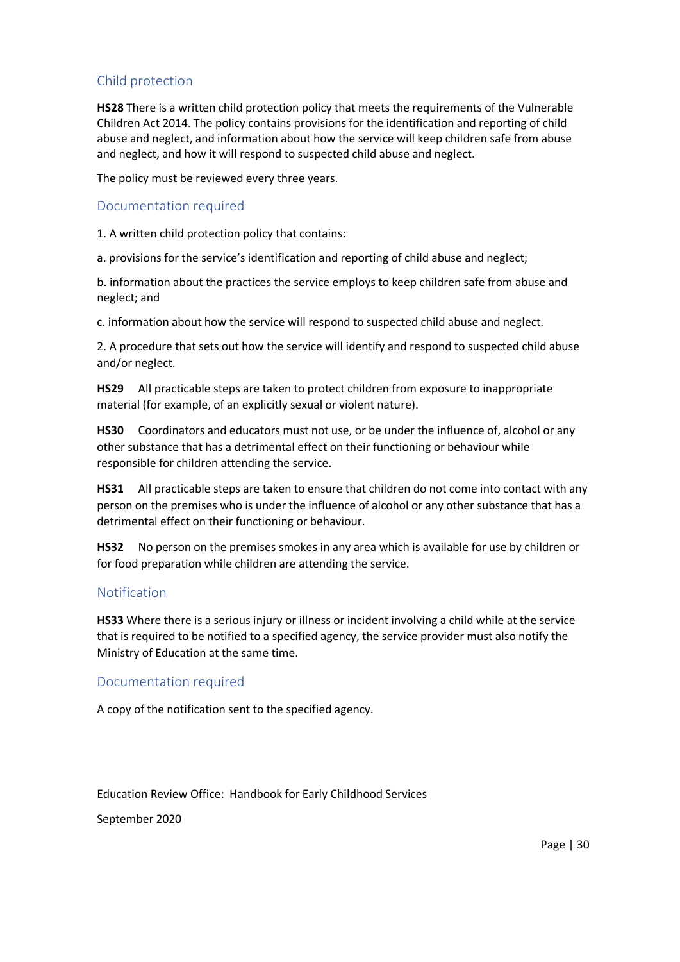## Child protection

**HS28** There is a written child protection policy that meets the requirements of the Vulnerable Children Act 2014. The policy contains provisions for the identification and reporting of child abuse and neglect, and information about how the service will keep children safe from abuse and neglect, and how it will respond to suspected child abuse and neglect.

The policy must be reviewed every three years.

#### Documentation required

1. A written child protection policy that contains:

a. provisions for the service's identification and reporting of child abuse and neglect;

b. information about the practices the service employs to keep children safe from abuse and neglect; and

c. information about how the service will respond to suspected child abuse and neglect.

2. A procedure that sets out how the service will identify and respond to suspected child abuse and/or neglect.

**HS29** All practicable steps are taken to protect children from exposure to inappropriate material (for example, of an explicitly sexual or violent nature).

**HS30** Coordinators and educators must not use, or be under the influence of, alcohol or any other substance that has a detrimental effect on their functioning or behaviour while responsible for children attending the service.

**HS31** All practicable steps are taken to ensure that children do not come into contact with any person on the premises who is under the influence of alcohol or any other substance that has a detrimental effect on their functioning or behaviour.

**HS32** No person on the premises smokes in any area which is available for use by children or for food preparation while children are attending the service.

### Notification

**HS33** Where there is a serious injury or illness or incident involving a child while at the service that is required to be notified to a specified agency, the service provider must also notify the Ministry of Education at the same time.

#### Documentation required

A copy of the notification sent to the specified agency.

Education Review Office: Handbook for Early Childhood Services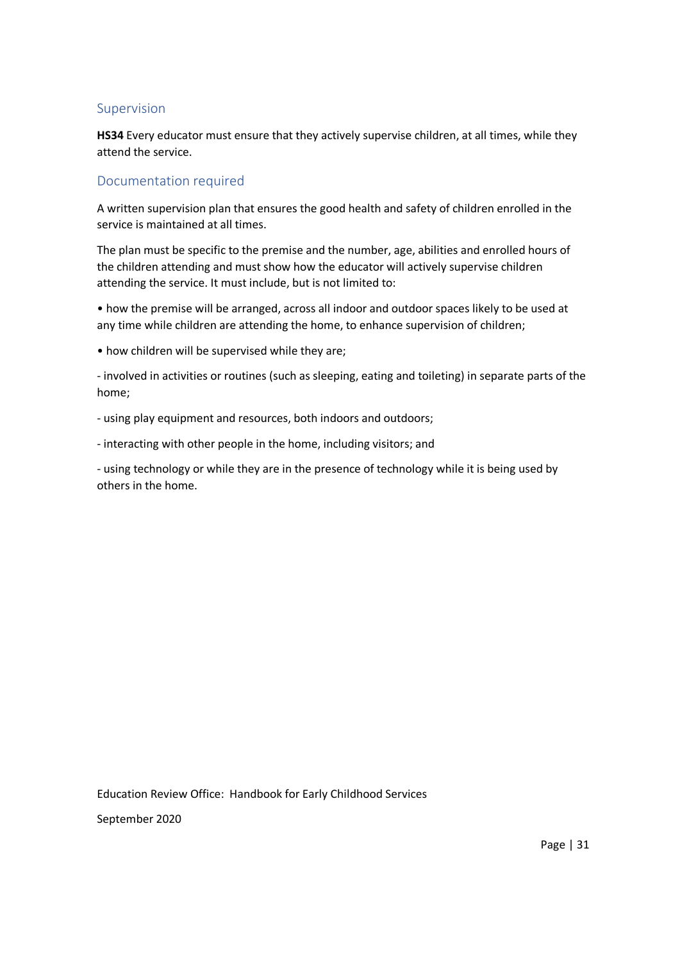#### Supervision

**HS34** Every educator must ensure that they actively supervise children, at all times, while they attend the service.

### Documentation required

A written supervision plan that ensures the good health and safety of children enrolled in the service is maintained at all times.

The plan must be specific to the premise and the number, age, abilities and enrolled hours of the children attending and must show how the educator will actively supervise children attending the service. It must include, but is not limited to:

• how the premise will be arranged, across all indoor and outdoor spaces likely to be used at any time while children are attending the home, to enhance supervision of children;

• how children will be supervised while they are;

- involved in activities or routines (such as sleeping, eating and toileting) in separate parts of the home;

- using play equipment and resources, both indoors and outdoors;

- interacting with other people in the home, including visitors; and

- using technology or while they are in the presence of technology while it is being used by others in the home.

Education Review Office: Handbook for Early Childhood Services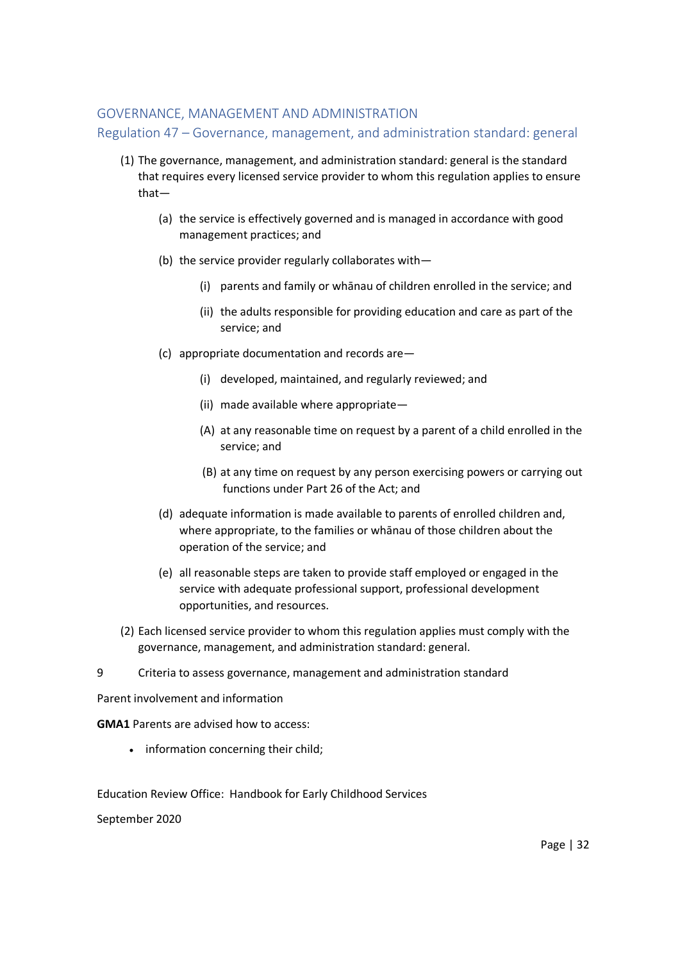#### GOVERNANCE, MANAGEMENT AND ADMINISTRATION

Regulation 47 – Governance, management, and administration standard: general

- (1) The governance, management, and administration standard: general is the standard that requires every licensed service provider to whom this regulation applies to ensure that—
	- (a) the service is effectively governed and is managed in accordance with good management practices; and
	- (b) the service provider regularly collaborates with—
		- (i) parents and family or whānau of children enrolled in the service; and
		- (ii) the adults responsible for providing education and care as part of the service; and
	- (c) appropriate documentation and records are—
		- (i) developed, maintained, and regularly reviewed; and
		- (ii) made available where appropriate—
		- (A) at any reasonable time on request by a parent of a child enrolled in the service; and
		- (B) at any time on request by any person exercising powers or carrying out functions under Part 26 of the Act; and
	- (d) adequate information is made available to parents of enrolled children and, where appropriate, to the families or whānau of those children about the operation of the service; and
	- (e) all reasonable steps are taken to provide staff employed or engaged in the service with adequate professional support, professional development opportunities, and resources.
- (2) Each licensed service provider to whom this regulation applies must comply with the governance, management, and administration standard: general.
- 9 Criteria to assess governance, management and administration standard

Parent involvement and information

**GMA1** Parents are advised how to access:

• information concerning their child;

Education Review Office: Handbook for Early Childhood Services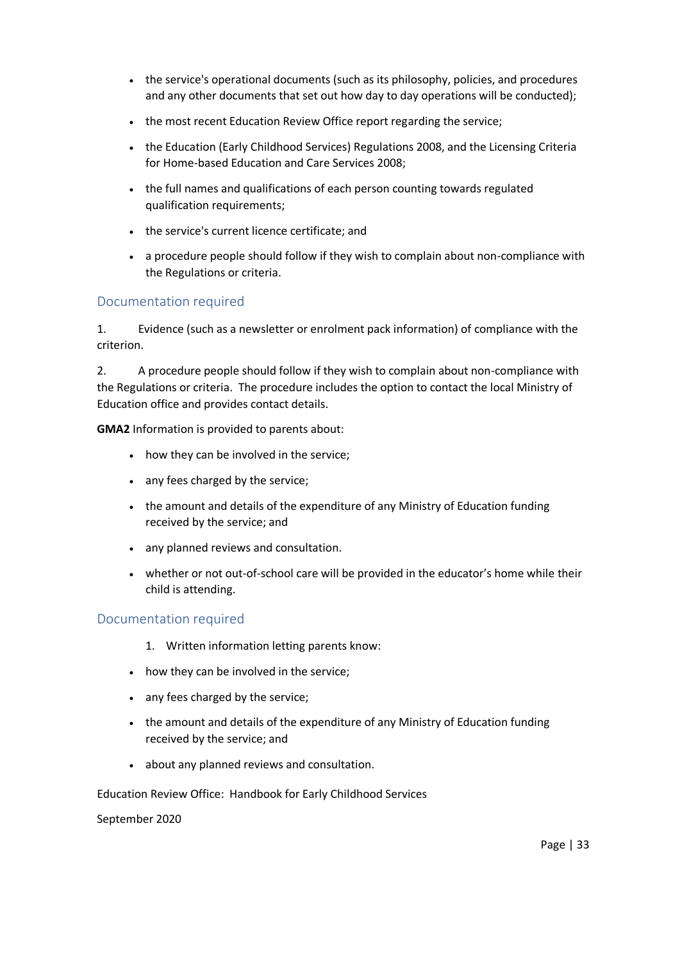- the service's operational documents (such as its philosophy, policies, and procedures and any other documents that set out how day to day operations will be conducted);
- the most recent Education Review Office report regarding the service;
- the Education (Early Childhood Services) Regulations 2008, and the Licensing Criteria for Home-based Education and Care Services 2008;
- the full names and qualifications of each person counting towards regulated qualification requirements;
- the service's current licence certificate; and
- a procedure people should follow if they wish to complain about non-compliance with the Regulations or criteria.

### Documentation required

1. Evidence (such as a newsletter or enrolment pack information) of compliance with the criterion.

2. A procedure people should follow if they wish to complain about non-compliance with the Regulations or criteria. The procedure includes the option to contact the local Ministry of Education office and provides contact details.

**GMA2** Information is provided to parents about:

- how they can be involved in the service;
- any fees charged by the service;
- the amount and details of the expenditure of any Ministry of Education funding received by the service; and
- any planned reviews and consultation.
- whether or not out-of-school care will be provided in the educator's home while their child is attending.

### Documentation required

- 1. Written information letting parents know:
- how they can be involved in the service;
- any fees charged by the service;
- the amount and details of the expenditure of any Ministry of Education funding received by the service; and
- about any planned reviews and consultation.

Education Review Office: Handbook for Early Childhood Services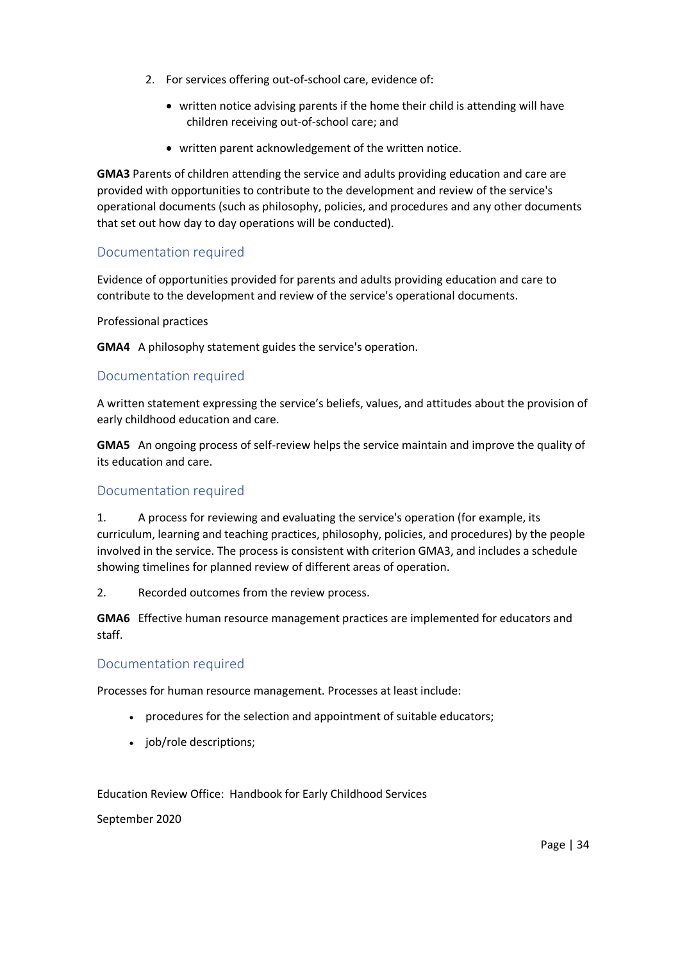- 2. For services offering out-of-school care, evidence of:
	- written notice advising parents if the home their child is attending will have children receiving out-of-school care; and
	- written parent acknowledgement of the written notice.

**GMA3** Parents of children attending the service and adults providing education and care are provided with opportunities to contribute to the development and review of the service's operational documents (such as philosophy, policies, and procedures and any other documents that set out how day to day operations will be conducted).

### Documentation required

Evidence of opportunities provided for parents and adults providing education and care to contribute to the development and review of the service's operational documents.

#### Professional practices

**GMA4** A philosophy statement guides the service's operation.

### Documentation required

A written statement expressing the service's beliefs, values, and attitudes about the provision of early childhood education and care.

**GMA5** An ongoing process of self-review helps the service maintain and improve the quality of its education and care.

#### Documentation required

1. A process for reviewing and evaluating the service's operation (for example, its curriculum, learning and teaching practices, philosophy, policies, and procedures) by the people involved in the service. The process is consistent with criterion GMA3, and includes a schedule showing timelines for planned review of different areas of operation.

2. Recorded outcomes from the review process.

**GMA6** Effective human resource management practices are implemented for educators and staff.

#### Documentation required

Processes for human resource management. Processes at least include:

- procedures for the selection and appointment of suitable educators;
- job/role descriptions;

Education Review Office: Handbook for Early Childhood Services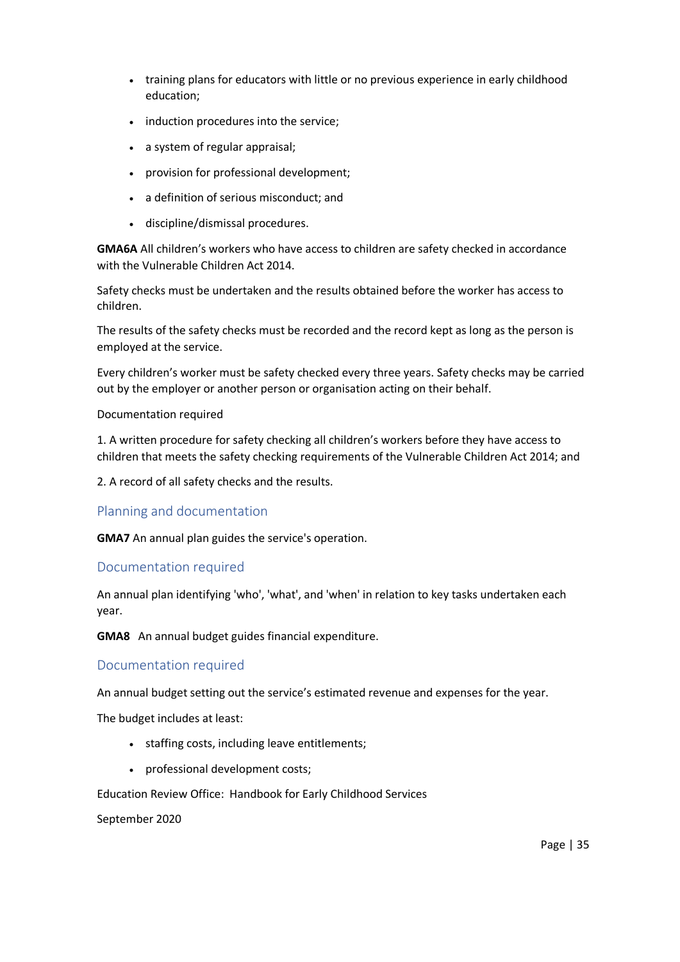- training plans for educators with little or no previous experience in early childhood education;
- induction procedures into the service;
- a system of regular appraisal;
- provision for professional development;
- a definition of serious misconduct; and
- discipline/dismissal procedures.

**GMA6A** All children's workers who have access to children are safety checked in accordance with the Vulnerable Children Act 2014.

Safety checks must be undertaken and the results obtained before the worker has access to children.

The results of the safety checks must be recorded and the record kept as long as the person is employed at the service.

Every children's worker must be safety checked every three years. Safety checks may be carried out by the employer or another person or organisation acting on their behalf.

#### Documentation required

1. A written procedure for safety checking all children's workers before they have access to children that meets the safety checking requirements of the Vulnerable Children Act 2014; and

2. A record of all safety checks and the results.

#### Planning and documentation

**GMA7** An annual plan guides the service's operation.

### Documentation required

An annual plan identifying 'who', 'what', and 'when' in relation to key tasks undertaken each year.

**GMA8** An annual budget guides financial expenditure.

#### Documentation required

An annual budget setting out the service's estimated revenue and expenses for the year.

The budget includes at least:

- staffing costs, including leave entitlements;
- professional development costs;

Education Review Office: Handbook for Early Childhood Services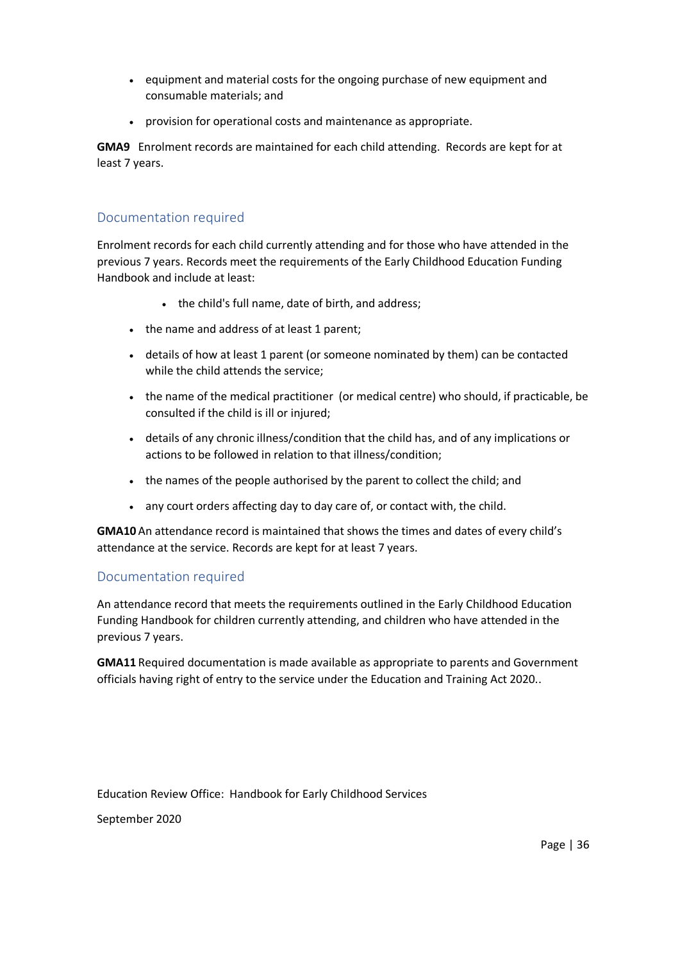- equipment and material costs for the ongoing purchase of new equipment and consumable materials; and
- provision for operational costs and maintenance as appropriate.

**GMA9** Enrolment records are maintained for each child attending. Records are kept for at least 7 years.

### Documentation required

Enrolment records for each child currently attending and for those who have attended in the previous 7 years. Records meet the requirements of the Early Childhood Education Funding Handbook and include at least:

- the child's full name, date of birth, and address;
- the name and address of at least 1 parent;
- details of how at least 1 parent (or someone nominated by them) can be contacted while the child attends the service;
- the name of the medical practitioner (or medical centre) who should, if practicable, be consulted if the child is ill or injured;
- details of any chronic illness/condition that the child has, and of any implications or actions to be followed in relation to that illness/condition;
- the names of the people authorised by the parent to collect the child; and
- any court orders affecting day to day care of, or contact with, the child.

**GMA10** An attendance record is maintained that shows the times and dates of every child's attendance at the service. Records are kept for at least 7 years.

#### Documentation required

An attendance record that meets the requirements outlined in the Early Childhood Education Funding Handbook for children currently attending, and children who have attended in the previous 7 years.

**GMA11** Required documentation is made available as appropriate to parents and Government officials having right of entry to the service under the Education and Training Act 2020..

Education Review Office: Handbook for Early Childhood Services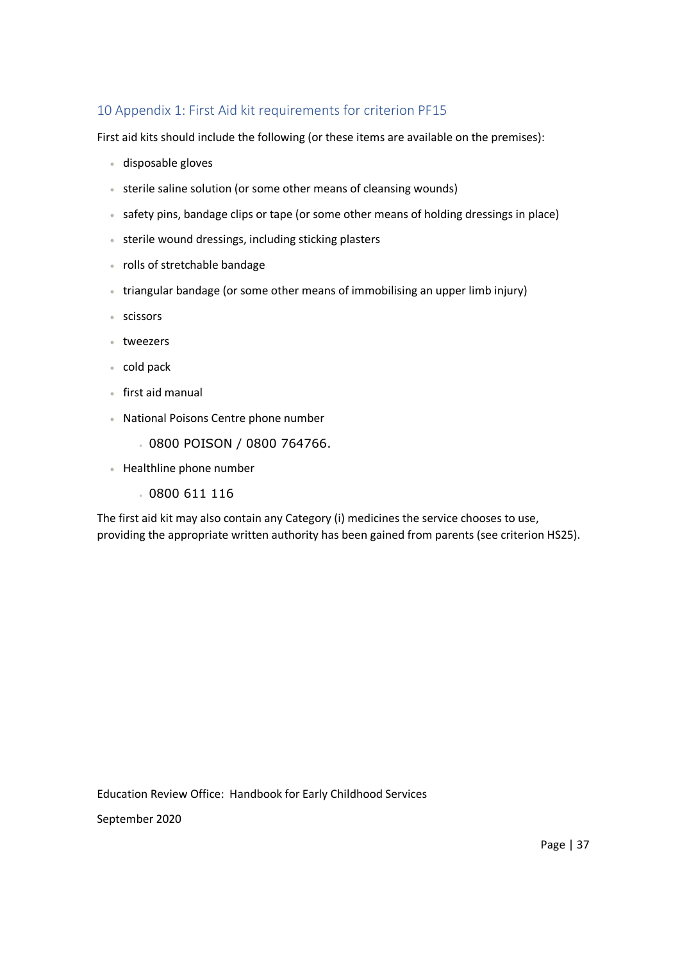## 10 Appendix 1: First Aid kit requirements for criterion PF15

First aid kits should include the following (or these items are available on the premises):

- disposable gloves
- sterile saline solution (or some other means of cleansing wounds)
- safety pins, bandage clips or tape (or some other means of holding dressings in place)
- sterile wound dressings, including sticking plasters
- rolls of stretchable bandage
- triangular bandage (or some other means of immobilising an upper limb injury)
- scissors
- tweezers
- cold pack
- first aid manual
- National Poisons Centre phone number
	- 0800 POISON / 0800 764766.
- Healthline phone number
	- 0800 611 116

The first aid kit may also contain any Category (i) medicines the service chooses to use, providing the appropriate written authority has been gained from parents (see criterion HS25).

Education Review Office: Handbook for Early Childhood Services